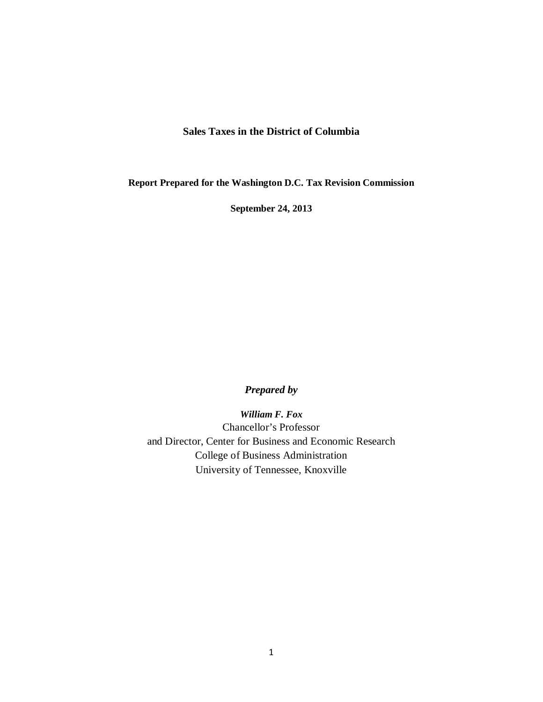#### **Sales Taxes in the District of Columbia**

**Report Prepared for the Washington D.C. Tax Revision Commission**

**September 24, 2013**

#### *Prepared by*

*William F. Fox* Chancellor's Professor and Director, Center for Business and Economic Research College of Business Administration University of Tennessee, Knoxville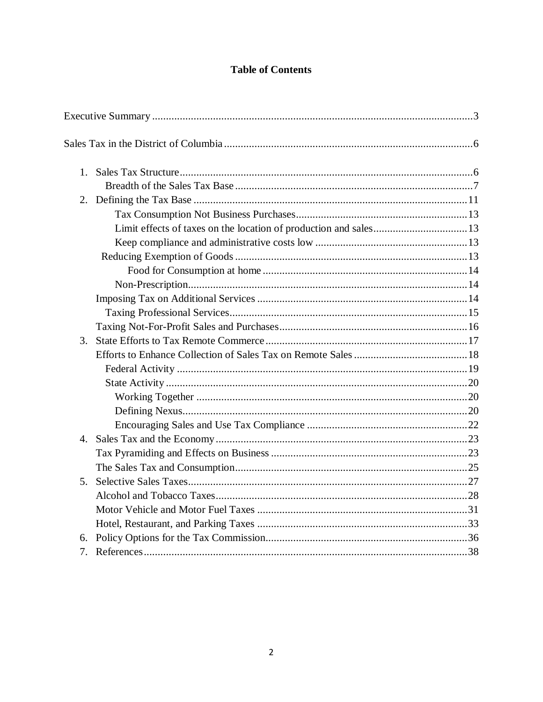## **Table of Contents**

|                  | Limit effects of taxes on the location of production and sales13 |  |
|------------------|------------------------------------------------------------------|--|
|                  |                                                                  |  |
|                  |                                                                  |  |
|                  |                                                                  |  |
|                  |                                                                  |  |
|                  |                                                                  |  |
|                  |                                                                  |  |
|                  |                                                                  |  |
| 3.               |                                                                  |  |
|                  |                                                                  |  |
|                  |                                                                  |  |
|                  |                                                                  |  |
|                  |                                                                  |  |
|                  |                                                                  |  |
|                  |                                                                  |  |
| $\overline{4}$ . |                                                                  |  |
|                  |                                                                  |  |
|                  |                                                                  |  |
| 5 <sub>1</sub>   |                                                                  |  |
|                  |                                                                  |  |
|                  |                                                                  |  |
|                  |                                                                  |  |
| 6.               |                                                                  |  |
| 7.               |                                                                  |  |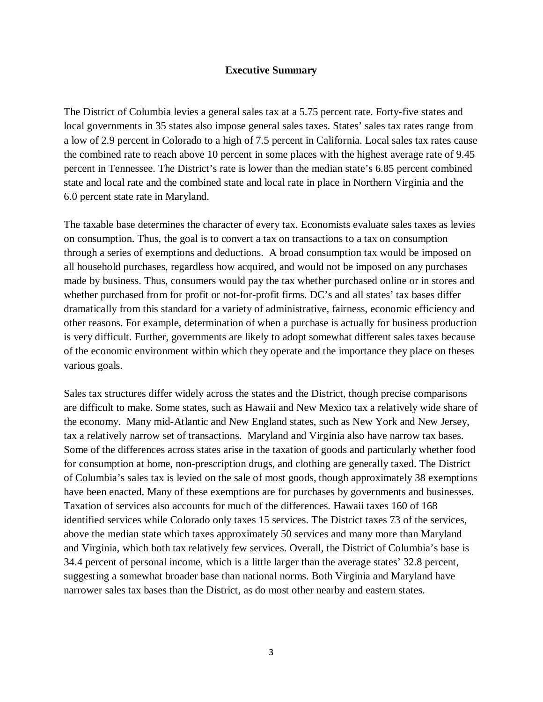#### **Executive Summary**

The District of Columbia levies a general sales tax at a 5.75 percent rate. Forty-five states and local governments in 35 states also impose general sales taxes. States' sales tax rates range from a low of 2.9 percent in Colorado to a high of 7.5 percent in California. Local sales tax rates cause the combined rate to reach above 10 percent in some places with the highest average rate of 9.45 percent in Tennessee. The District's rate is lower than the median state's 6.85 percent combined state and local rate and the combined state and local rate in place in Northern Virginia and the 6.0 percent state rate in Maryland.

The taxable base determines the character of every tax. Economists evaluate sales taxes as levies on consumption. Thus, the goal is to convert a tax on transactions to a tax on consumption through a series of exemptions and deductions. A broad consumption tax would be imposed on all household purchases, regardless how acquired, and would not be imposed on any purchases made by business. Thus, consumers would pay the tax whether purchased online or in stores and whether purchased from for profit or not-for-profit firms. DC's and all states' tax bases differ dramatically from this standard for a variety of administrative, fairness, economic efficiency and other reasons. For example, determination of when a purchase is actually for business production is very difficult. Further, governments are likely to adopt somewhat different sales taxes because of the economic environment within which they operate and the importance they place on theses various goals.

Sales tax structures differ widely across the states and the District, though precise comparisons are difficult to make. Some states, such as Hawaii and New Mexico tax a relatively wide share of the economy. Many mid-Atlantic and New England states, such as New York and New Jersey, tax a relatively narrow set of transactions. Maryland and Virginia also have narrow tax bases. Some of the differences across states arise in the taxation of goods and particularly whether food for consumption at home, non-prescription drugs, and clothing are generally taxed. The District of Columbia's sales tax is levied on the sale of most goods, though approximately 38 exemptions have been enacted. Many of these exemptions are for purchases by governments and businesses. Taxation of services also accounts for much of the differences. Hawaii taxes 160 of 168 identified services while Colorado only taxes 15 services. The District taxes 73 of the services, above the median state which taxes approximately 50 services and many more than Maryland and Virginia, which both tax relatively few services. Overall, the District of Columbia's base is 34.4 percent of personal income, which is a little larger than the average states' 32.8 percent, suggesting a somewhat broader base than national norms. Both Virginia and Maryland have narrower sales tax bases than the District, as do most other nearby and eastern states.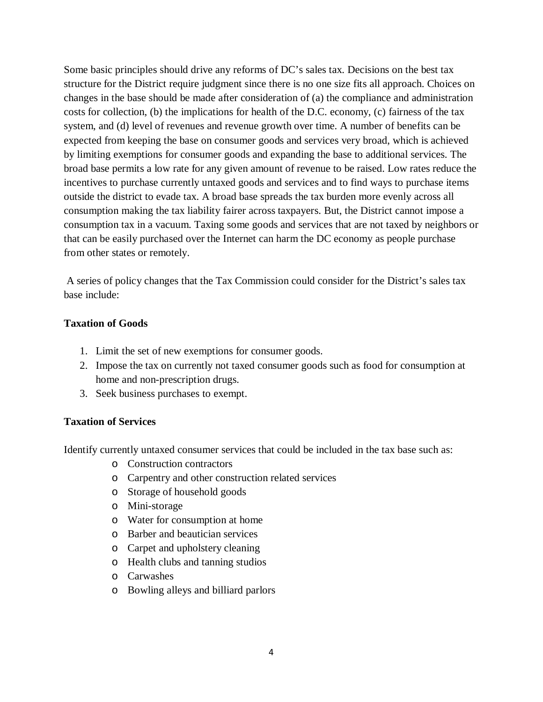Some basic principles should drive any reforms of DC's sales tax. Decisions on the best tax structure for the District require judgment since there is no one size fits all approach. Choices on changes in the base should be made after consideration of (a) the compliance and administration costs for collection, (b) the implications for health of the D.C. economy, (c) fairness of the tax system, and (d) level of revenues and revenue growth over time. A number of benefits can be expected from keeping the base on consumer goods and services very broad, which is achieved by limiting exemptions for consumer goods and expanding the base to additional services. The broad base permits a low rate for any given amount of revenue to be raised. Low rates reduce the incentives to purchase currently untaxed goods and services and to find ways to purchase items outside the district to evade tax. A broad base spreads the tax burden more evenly across all consumption making the tax liability fairer across taxpayers. But, the District cannot impose a consumption tax in a vacuum. Taxing some goods and services that are not taxed by neighbors or that can be easily purchased over the Internet can harm the DC economy as people purchase from other states or remotely.

A series of policy changes that the Tax Commission could consider for the District's sales tax base include:

#### **Taxation of Goods**

- 1. Limit the set of new exemptions for consumer goods.
- 2. Impose the tax on currently not taxed consumer goods such as food for consumption at home and non-prescription drugs.
- 3. Seek business purchases to exempt.

#### **Taxation of Services**

Identify currently untaxed consumer services that could be included in the tax base such as:

- o Construction contractors
- o Carpentry and other construction related services
- o Storage of household goods
- o Mini-storage
- o Water for consumption at home
- o Barber and beautician services
- o Carpet and upholstery cleaning
- o Health clubs and tanning studios
- o Carwashes
- o Bowling alleys and billiard parlors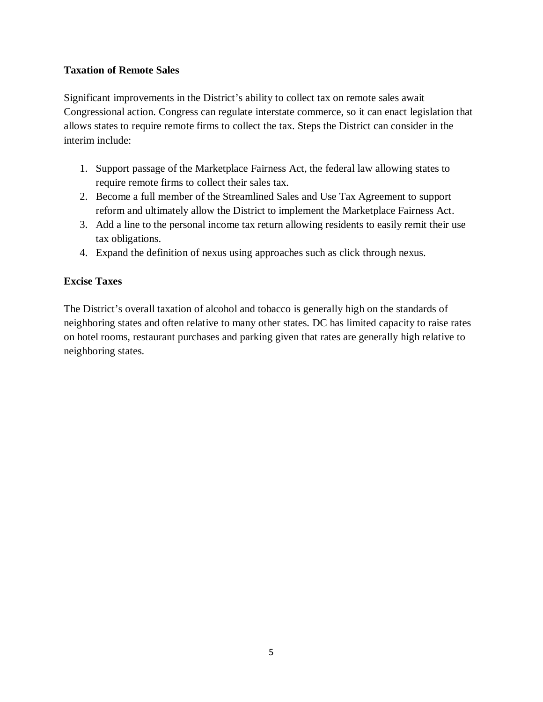#### **Taxation of Remote Sales**

Significant improvements in the District's ability to collect tax on remote sales await Congressional action. Congress can regulate interstate commerce, so it can enact legislation that allows states to require remote firms to collect the tax. Steps the District can consider in the interim include:

- 1. Support passage of the Marketplace Fairness Act, the federal law allowing states to require remote firms to collect their sales tax.
- 2. Become a full member of the Streamlined Sales and Use Tax Agreement to support reform and ultimately allow the District to implement the Marketplace Fairness Act.
- 3. Add a line to the personal income tax return allowing residents to easily remit their use tax obligations.
- 4. Expand the definition of nexus using approaches such as click through nexus.

## **Excise Taxes**

The District's overall taxation of alcohol and tobacco is generally high on the standards of neighboring states and often relative to many other states. DC has limited capacity to raise rates on hotel rooms, restaurant purchases and parking given that rates are generally high relative to neighboring states.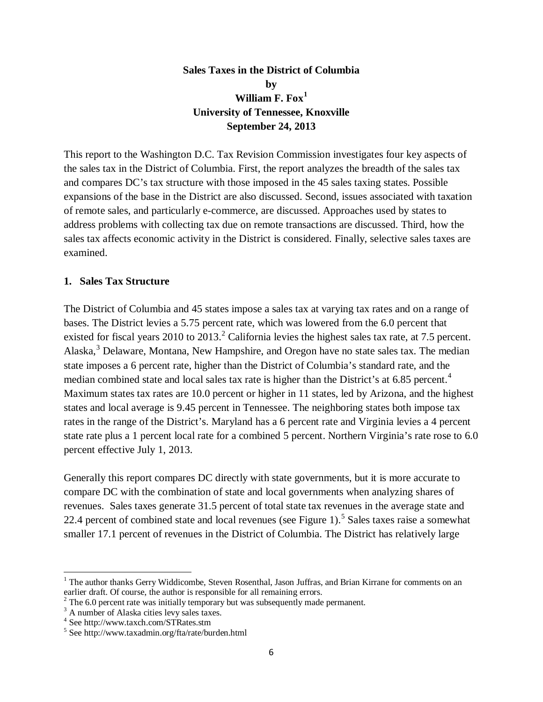## **Sales Taxes in the District of Columbia by William F. Fox[1](#page-5-0) University of Tennessee, Knoxville September 24, 2013**

This report to the Washington D.C. Tax Revision Commission investigates four key aspects of the sales tax in the District of Columbia. First, the report analyzes the breadth of the sales tax and compares DC's tax structure with those imposed in the 45 sales taxing states. Possible expansions of the base in the District are also discussed. Second, issues associated with taxation of remote sales, and particularly e-commerce, are discussed. Approaches used by states to address problems with collecting tax due on remote transactions are discussed. Third, how the sales tax affects economic activity in the District is considered. Finally, selective sales taxes are examined.

#### **1. Sales Tax Structure**

The District of Columbia and 45 states impose a sales tax at varying tax rates and on a range of bases. The District levies a 5.75 percent rate, which was lowered from the 6.0 percent that existed for fiscal years [2](#page-5-1)010 to 2013.<sup>2</sup> California levies the highest sales tax rate, at 7.5 percent. Alaska,<sup>[3](#page-5-2)</sup> Delaware, Montana, New Hampshire, and Oregon have no state sales tax. The median state imposes a 6 percent rate, higher than the District of Columbia's standard rate, and the median combined state and local sales tax rate is higher than the District's at 6.85 percent.<sup>[4](#page-5-3)</sup> Maximum states tax rates are 10.0 percent or higher in 11 states, led by Arizona, and the highest states and local average is 9.45 percent in Tennessee. The neighboring states both impose tax rates in the range of the District's. Maryland has a 6 percent rate and Virginia levies a 4 percent state rate plus a 1 percent local rate for a combined 5 percent. Northern Virginia's rate rose to 6.0 percent effective July 1, 2013.

Generally this report compares DC directly with state governments, but it is more accurate to compare DC with the combination of state and local governments when analyzing shares of revenues. Sales taxes generate 31.5 percent of total state tax revenues in the average state and 22.4 percent of combined state and local revenues (see Figure 1).<sup>[5](#page-5-4)</sup> Sales taxes raise a somewhat smaller 17.1 percent of revenues in the District of Columbia. The District has relatively large

<span id="page-5-0"></span><sup>&</sup>lt;sup>1</sup> The author thanks Gerry Widdicombe, Steven Rosenthal, Jason Juffras, and Brian Kirrane for comments on an earlier draft. Of course, the author is responsible for all remaining errors.  $\overline{a}$ 

<span id="page-5-1"></span><sup>&</sup>lt;sup>2</sup> The 6.0 percent rate was initially temporary but was subsequently made permanent.<br><sup>3</sup> A number of Alaska cities levy sales taxes.<br><sup>4</sup> See http://www.taxch.com/STRates.stm

<span id="page-5-2"></span>

<span id="page-5-3"></span>

<span id="page-5-4"></span> $5$  See http://www.taxadmin.org/fta/rate/burden.html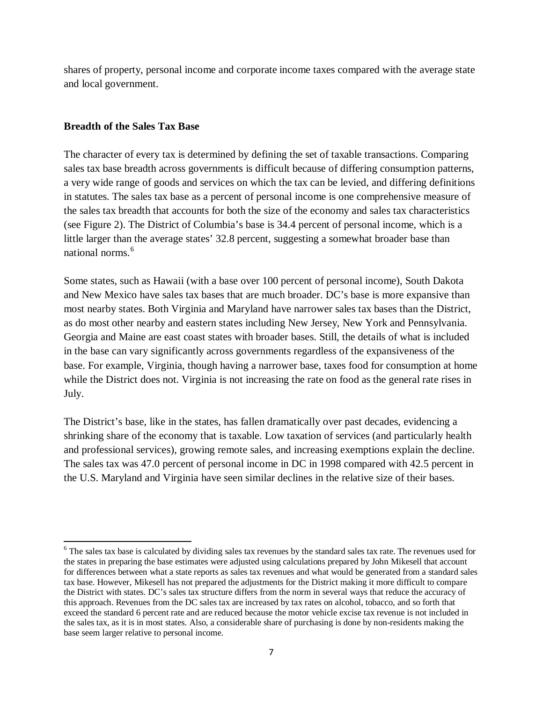shares of property, personal income and corporate income taxes compared with the average state and local government.

#### **Breadth of the Sales Tax Base**

 $\overline{\phantom{a}}$ 

The character of every tax is determined by defining the set of taxable transactions. Comparing sales tax base breadth across governments is difficult because of differing consumption patterns, a very wide range of goods and services on which the tax can be levied, and differing definitions in statutes. The sales tax base as a percent of personal income is one comprehensive measure of the sales tax breadth that accounts for both the size of the economy and sales tax characteristics (see Figure 2). The District of Columbia's base is 34.4 percent of personal income, which is a little larger than the average states' 32.8 percent, suggesting a somewhat broader base than national norms.<sup>[6](#page-6-0)</sup>

Some states, such as Hawaii (with a base over 100 percent of personal income), South Dakota and New Mexico have sales tax bases that are much broader. DC's base is more expansive than most nearby states. Both Virginia and Maryland have narrower sales tax bases than the District, as do most other nearby and eastern states including New Jersey, New York and Pennsylvania. Georgia and Maine are east coast states with broader bases. Still, the details of what is included in the base can vary significantly across governments regardless of the expansiveness of the base. For example, Virginia, though having a narrower base, taxes food for consumption at home while the District does not. Virginia is not increasing the rate on food as the general rate rises in July.

The District's base, like in the states, has fallen dramatically over past decades, evidencing a shrinking share of the economy that is taxable. Low taxation of services (and particularly health and professional services), growing remote sales, and increasing exemptions explain the decline. The sales tax was 47.0 percent of personal income in DC in 1998 compared with 42.5 percent in the U.S. Maryland and Virginia have seen similar declines in the relative size of their bases.

<span id="page-6-0"></span><sup>&</sup>lt;sup>6</sup> The sales tax base is calculated by dividing sales tax revenues by the standard sales tax rate. The revenues used for the states in preparing the base estimates were adjusted using calculations prepared by John Mikesell that account for differences between what a state reports as sales tax revenues and what would be generated from a standard sales tax base. However, Mikesell has not prepared the adjustments for the District making it more difficult to compare the District with states. DC's sales tax structure differs from the norm in several ways that reduce the accuracy of this approach. Revenues from the DC sales tax are increased by tax rates on alcohol, tobacco, and so forth that exceed the standard 6 percent rate and are reduced because the motor vehicle excise tax revenue is not included in the sales tax, as it is in most states. Also, a considerable share of purchasing is done by non-residents making the base seem larger relative to personal income.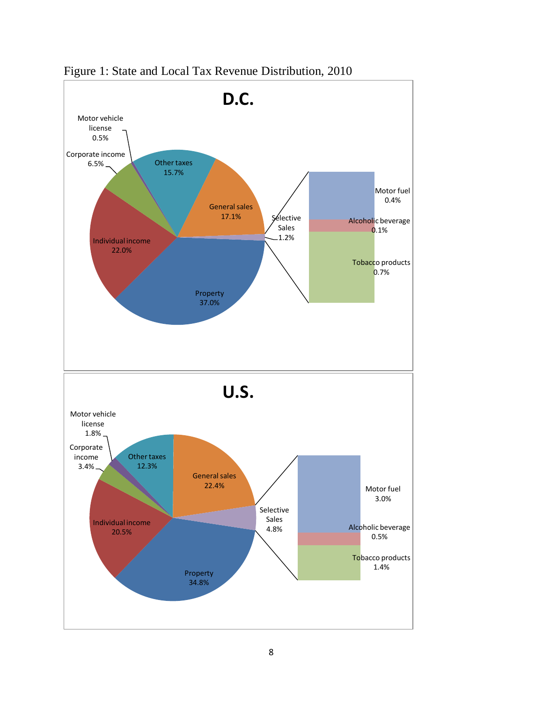

Figure 1: State and Local Tax Revenue Distribution, 2010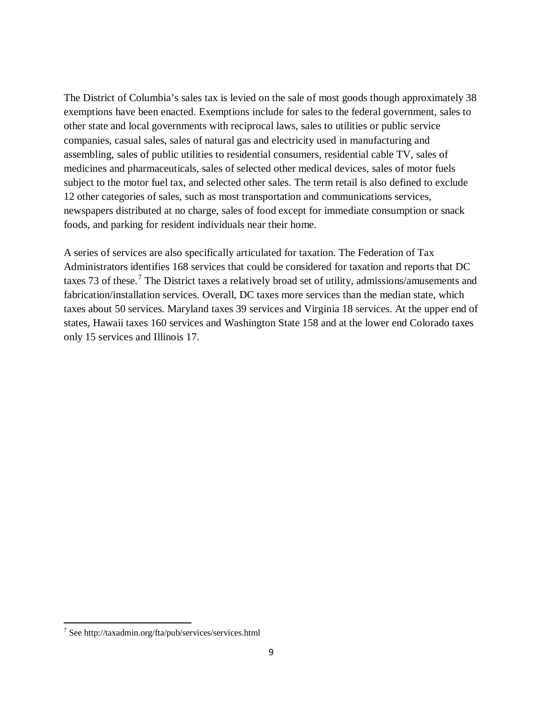The District of Columbia's sales tax is levied on the sale of most goods though approximately 38 exemptions have been enacted. Exemptions include for sales to the federal government, sales to other state and local governments with reciprocal laws, sales to utilities or public service companies, casual sales, sales of natural gas and electricity used in manufacturing and assembling, sales of public utilities to residential consumers, residential cable TV, sales of medicines and pharmaceuticals, sales of selected other medical devices, sales of motor fuels subject to the motor fuel tax, and selected other sales. The term retail is also defined to exclude 12 other categories of sales, such as most transportation and communications services, newspapers distributed at no charge, sales of food except for immediate consumption or snack foods, and parking for resident individuals near their home.

A series of services are also specifically articulated for taxation. The Federation of Tax Administrators identifies 168 services that could be considered for taxation and reports that DC taxes [7](#page-9-0)3 of these.<sup>7</sup> The District taxes a relatively broad set of utility, admissions/amusements and fabrication/installation services. Overall, DC taxes more services than the median state, which taxes about 50 services. Maryland taxes 39 services and Virginia 18 services. At the upper end of states, Hawaii taxes 160 services and Washington State 158 and at the lower end Colorado taxes only 15 services and Illinois 17.

 $\overline{a}$ 

<sup>7</sup> See http://taxadmin.org/fta/pub/services/services.html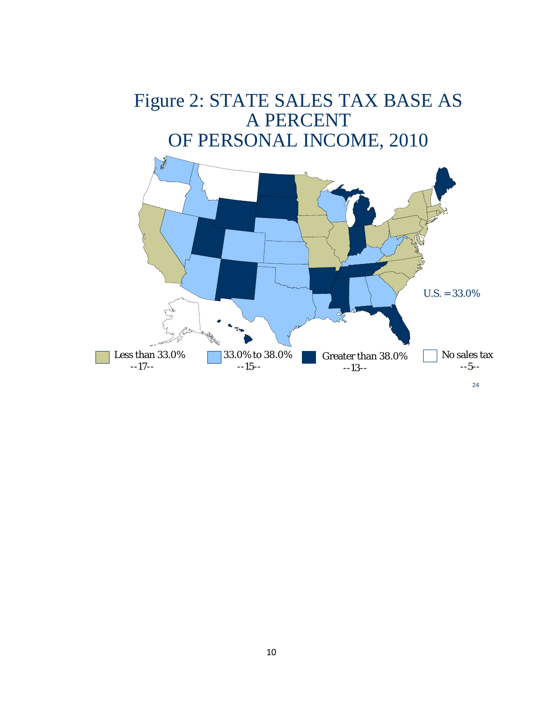# Figure 2: STATE SALES TAX BASE AS A PERCENT OF PERSONAL INCOME, 2010

<span id="page-9-0"></span>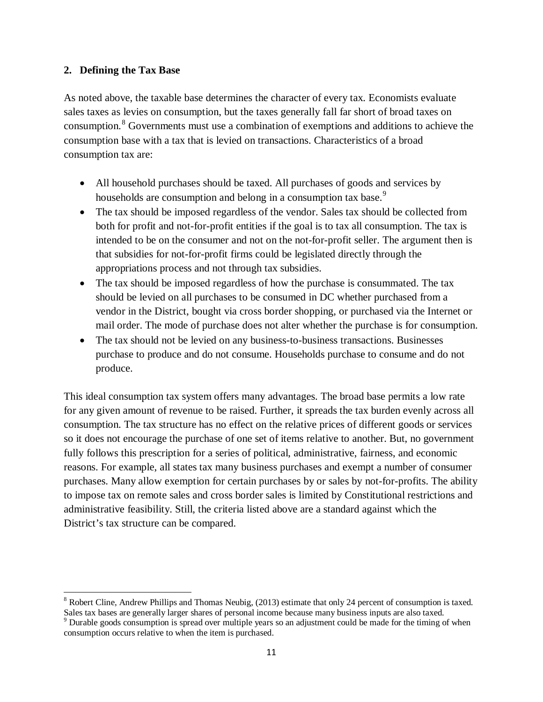#### **2. Defining the Tax Base**

As noted above, the taxable base determines the character of every tax. Economists evaluate sales taxes as levies on consumption, but the taxes generally fall far short of broad taxes on consumption.<sup>[8](#page-11-0)</sup> Governments must use a combination of exemptions and additions to achieve the consumption base with a tax that is levied on transactions. Characteristics of a broad consumption tax are:

- All household purchases should be taxed. All purchases of goods and services by households are consumption and belong in a consumption tax base.<sup>[9](#page-11-1)</sup>
- The tax should be imposed regardless of the vendor. Sales tax should be collected from both for profit and not-for-profit entities if the goal is to tax all consumption. The tax is intended to be on the consumer and not on the not-for-profit seller. The argument then is that subsidies for not-for-profit firms could be legislated directly through the appropriations process and not through tax subsidies.
- The tax should be imposed regardless of how the purchase is consummated. The tax should be levied on all purchases to be consumed in DC whether purchased from a vendor in the District, bought via cross border shopping, or purchased via the Internet or mail order. The mode of purchase does not alter whether the purchase is for consumption.
- The tax should not be levied on any business-to-business transactions. Businesses purchase to produce and do not consume. Households purchase to consume and do not produce.

This ideal consumption tax system offers many advantages. The broad base permits a low rate for any given amount of revenue to be raised. Further, it spreads the tax burden evenly across all consumption. The tax structure has no effect on the relative prices of different goods or services so it does not encourage the purchase of one set of items relative to another. But, no government fully follows this prescription for a series of political, administrative, fairness, and economic reasons. For example, all states tax many business purchases and exempt a number of consumer purchases. Many allow exemption for certain purchases by or sales by not-for-profits. The ability to impose tax on remote sales and cross border sales is limited by Constitutional restrictions and administrative feasibility. Still, the criteria listed above are a standard against which the District's tax structure can be compared.

 $8$  Robert Cline, Andrew Phillips and Thomas Neubig, (2013) estimate that only 24 percent of consumption is taxed.  $\overline{\phantom{a}}$ 

Sales tax bases are generally larger shares of personal income because many business inputs are also taxed. <sup>9</sup> Durable goods consumption is spread over multiple years so an adjustment could be made for the timing of when consumption occurs relative to when the item is purchased.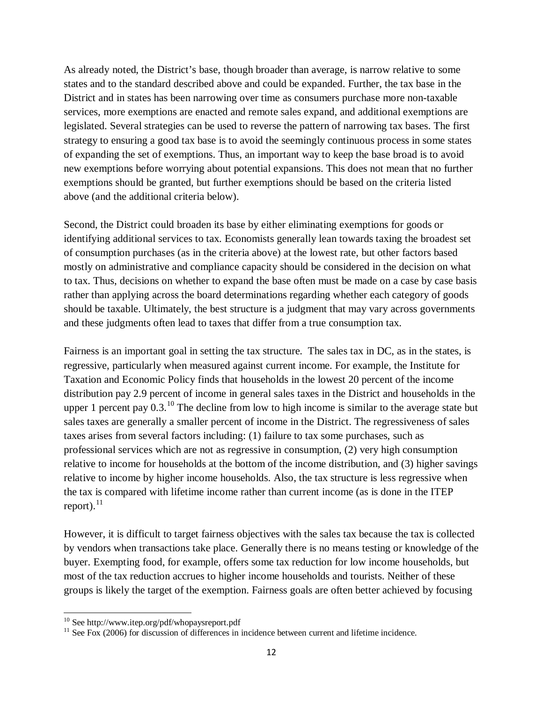As already noted, the District's base, though broader than average, is narrow relative to some states and to the standard described above and could be expanded. Further, the tax base in the District and in states has been narrowing over time as consumers purchase more non-taxable services, more exemptions are enacted and remote sales expand, and additional exemptions are legislated. Several strategies can be used to reverse the pattern of narrowing tax bases. The first strategy to ensuring a good tax base is to avoid the seemingly continuous process in some states of expanding the set of exemptions. Thus, an important way to keep the base broad is to avoid new exemptions before worrying about potential expansions. This does not mean that no further exemptions should be granted, but further exemptions should be based on the criteria listed above (and the additional criteria below).

Second, the District could broaden its base by either eliminating exemptions for goods or identifying additional services to tax. Economists generally lean towards taxing the broadest set of consumption purchases (as in the criteria above) at the lowest rate, but other factors based mostly on administrative and compliance capacity should be considered in the decision on what to tax. Thus, decisions on whether to expand the base often must be made on a case by case basis rather than applying across the board determinations regarding whether each category of goods should be taxable. Ultimately, the best structure is a judgment that may vary across governments and these judgments often lead to taxes that differ from a true consumption tax.

Fairness is an important goal in setting the tax structure. The sales tax in DC, as in the states, is regressive, particularly when measured against current income. For example, the Institute for Taxation and Economic Policy finds that households in the lowest 20 percent of the income distribution pay 2.9 percent of income in general sales taxes in the District and households in the upper 1 percent pay  $0.3$ .<sup>[10](#page-12-0)</sup> The decline from low to high income is similar to the average state but sales taxes are generally a smaller percent of income in the District. The regressiveness of sales taxes arises from several factors including: (1) failure to tax some purchases, such as professional services which are not as regressive in consumption, (2) very high consumption relative to income for households at the bottom of the income distribution, and (3) higher savings relative to income by higher income households. Also, the tax structure is less regressive when the tax is compared with lifetime income rather than current income (as is done in the ITEP report). $^{11}$  $^{11}$  $^{11}$ 

However, it is difficult to target fairness objectives with the sales tax because the tax is collected by vendors when transactions take place. Generally there is no means testing or knowledge of the buyer. Exempting food, for example, offers some tax reduction for low income households, but most of the tax reduction accrues to higher income households and tourists. Neither of these groups is likely the target of the exemption. Fairness goals are often better achieved by focusing

<span id="page-11-0"></span> $10$  See http://www.itep.org/pdf/whopaysreport.pdf

<span id="page-11-1"></span> $11$  See Fox (2006) for discussion of differences in incidence between current and lifetime incidence.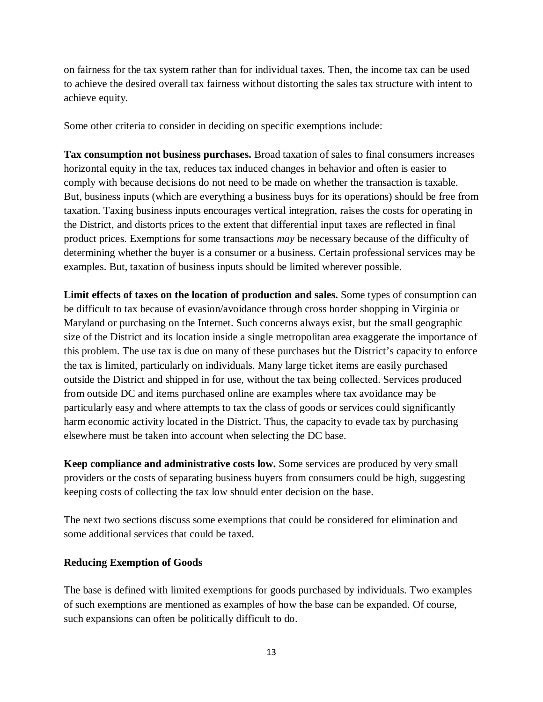on fairness for the tax system rather than for individual taxes. Then, the income tax can be used to achieve the desired overall tax fairness without distorting the sales tax structure with intent to achieve equity.

Some other criteria to consider in deciding on specific exemptions include:

**Tax consumption not business purchases.** Broad taxation of sales to final consumers increases horizontal equity in the tax, reduces tax induced changes in behavior and often is easier to comply with because decisions do not need to be made on whether the transaction is taxable. But, business inputs (which are everything a business buys for its operations) should be free from taxation. Taxing business inputs encourages vertical integration, raises the costs for operating in the District, and distorts prices to the extent that differential input taxes are reflected in final product prices. Exemptions for some transactions *may* be necessary because of the difficulty of determining whether the buyer is a consumer or a business. Certain professional services may be examples. But, taxation of business inputs should be limited wherever possible.

**Limit effects of taxes on the location of production and sales.** Some types of consumption can be difficult to tax because of evasion/avoidance through cross border shopping in Virginia or Maryland or purchasing on the Internet. Such concerns always exist, but the small geographic size of the District and its location inside a single metropolitan area exaggerate the importance of this problem. The use tax is due on many of these purchases but the District's capacity to enforce the tax is limited, particularly on individuals. Many large ticket items are easily purchased outside the District and shipped in for use, without the tax being collected. Services produced from outside DC and items purchased online are examples where tax avoidance may be particularly easy and where attempts to tax the class of goods or services could significantly harm economic activity located in the District. Thus, the capacity to evade tax by purchasing elsewhere must be taken into account when selecting the DC base.

**Keep compliance and administrative costs low.** Some services are produced by very small providers or the costs of separating business buyers from consumers could be high, suggesting keeping costs of collecting the tax low should enter decision on the base.

The next two sections discuss some exemptions that could be considered for elimination and some additional services that could be taxed.

#### **Reducing Exemption of Goods**

<span id="page-12-1"></span><span id="page-12-0"></span>The base is defined with limited exemptions for goods purchased by individuals. Two examples of such exemptions are mentioned as examples of how the base can be expanded. Of course, such expansions can often be politically difficult to do.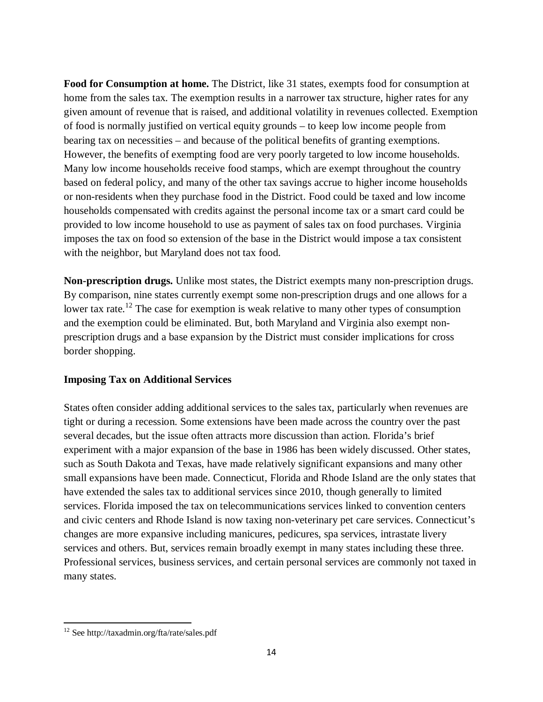**Food for Consumption at home.** The District, like 31 states, exempts food for consumption at home from the sales tax. The exemption results in a narrower tax structure, higher rates for any given amount of revenue that is raised, and additional volatility in revenues collected. Exemption of food is normally justified on vertical equity grounds – to keep low income people from bearing tax on necessities – and because of the political benefits of granting exemptions. However, the benefits of exempting food are very poorly targeted to low income households. Many low income households receive food stamps, which are exempt throughout the country based on federal policy, and many of the other tax savings accrue to higher income households or non-residents when they purchase food in the District. Food could be taxed and low income households compensated with credits against the personal income tax or a smart card could be provided to low income household to use as payment of sales tax on food purchases. Virginia imposes the tax on food so extension of the base in the District would impose a tax consistent with the neighbor, but Maryland does not tax food.

**Non-prescription drugs.** Unlike most states, the District exempts many non-prescription drugs. By comparison, nine states currently exempt some non-prescription drugs and one allows for a lower tax rate.<sup>[12](#page-14-0)</sup> The case for exemption is weak relative to many other types of consumption and the exemption could be eliminated. But, both Maryland and Virginia also exempt nonprescription drugs and a base expansion by the District must consider implications for cross border shopping.

#### **Imposing Tax on Additional Services**

States often consider adding additional services to the sales tax, particularly when revenues are tight or during a recession. Some extensions have been made across the country over the past several decades, but the issue often attracts more discussion than action. Florida's brief experiment with a major expansion of the base in 1986 has been widely discussed. Other states, such as South Dakota and Texas, have made relatively significant expansions and many other small expansions have been made. Connecticut, Florida and Rhode Island are the only states that have extended the sales tax to additional services since 2010, though generally to limited services. Florida imposed the tax on telecommunications services linked to convention centers and civic centers and Rhode Island is now taxing non-veterinary pet care services. Connecticut's changes are more expansive including manicures, pedicures, spa services, intrastate livery services and others. But, services remain broadly exempt in many states including these three. Professional services, business services, and certain personal services are commonly not taxed in many states.

<sup>&</sup>lt;sup>12</sup> See http://taxadmin.org/fta/rate/sales.pdf  $\overline{a}$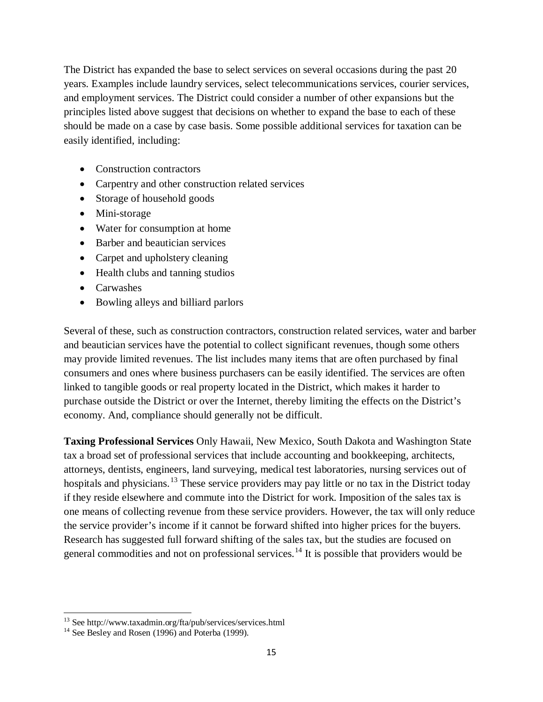The District has expanded the base to select services on several occasions during the past 20 years. Examples include laundry services, select telecommunications services, courier services, and employment services. The District could consider a number of other expansions but the principles listed above suggest that decisions on whether to expand the base to each of these should be made on a case by case basis. Some possible additional services for taxation can be easily identified, including:

- Construction contractors
- Carpentry and other construction related services
- Storage of household goods
- Mini-storage
- Water for consumption at home
- Barber and beautician services
- Carpet and upholstery cleaning
- Health clubs and tanning studios
- Carwashes
- Bowling alleys and billiard parlors

Several of these, such as construction contractors, construction related services, water and barber and beautician services have the potential to collect significant revenues, though some others may provide limited revenues. The list includes many items that are often purchased by final consumers and ones where business purchasers can be easily identified. The services are often linked to tangible goods or real property located in the District, which makes it harder to purchase outside the District or over the Internet, thereby limiting the effects on the District's economy. And, compliance should generally not be difficult.

**Taxing Professional Services** Only Hawaii, New Mexico, South Dakota and Washington State tax a broad set of professional services that include accounting and bookkeeping, architects, attorneys, dentists, engineers, land surveying, medical test laboratories, nursing services out of hospitals and physicians.<sup>[13](#page-15-0)</sup> These service providers may pay little or no tax in the District today if they reside elsewhere and commute into the District for work. Imposition of the sales tax is one means of collecting revenue from these service providers. However, the tax will only reduce the service provider's income if it cannot be forward shifted into higher prices for the buyers. Research has suggested full forward shifting of the sales tax, but the studies are focused on general commodities and not on professional services.<sup>[14](#page-15-1)</sup> It is possible that providers would be

<sup>&</sup>lt;sup>13</sup> See http://www.taxadmin.org/fta/pub/services/services.html <sup>14</sup> See Besley and Rosen (1996) and Poterba (1999). l

<span id="page-14-0"></span>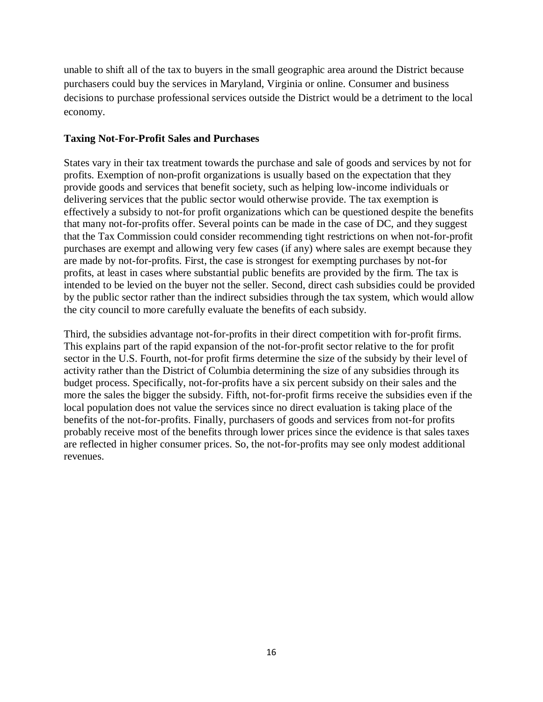unable to shift all of the tax to buyers in the small geographic area around the District because purchasers could buy the services in Maryland, Virginia or online. Consumer and business decisions to purchase professional services outside the District would be a detriment to the local economy.

#### **Taxing Not-For-Profit Sales and Purchases**

States vary in their tax treatment towards the purchase and sale of goods and services by not for profits. Exemption of non-profit organizations is usually based on the expectation that they provide goods and services that benefit society, such as helping low-income individuals or delivering services that the public sector would otherwise provide. The tax exemption is effectively a subsidy to not-for profit organizations which can be questioned despite the benefits that many not-for-profits offer. Several points can be made in the case of DC, and they suggest that the Tax Commission could consider recommending tight restrictions on when not-for-profit purchases are exempt and allowing very few cases (if any) where sales are exempt because they are made by not-for-profits. First, the case is strongest for exempting purchases by not-for profits, at least in cases where substantial public benefits are provided by the firm. The tax is intended to be levied on the buyer not the seller. Second, direct cash subsidies could be provided by the public sector rather than the indirect subsidies through the tax system, which would allow the city council to more carefully evaluate the benefits of each subsidy.

<span id="page-15-1"></span><span id="page-15-0"></span>Third, the subsidies advantage not-for-profits in their direct competition with for-profit firms. This explains part of the rapid expansion of the not-for-profit sector relative to the for profit sector in the U.S. Fourth, not-for profit firms determine the size of the subsidy by their level of activity rather than the District of Columbia determining the size of any subsidies through its budget process. Specifically, not-for-profits have a six percent subsidy on their sales and the more the sales the bigger the subsidy. Fifth, not-for-profit firms receive the subsidies even if the local population does not value the services since no direct evaluation is taking place of the benefits of the not-for-profits. Finally, purchasers of goods and services from not-for profits probably receive most of the benefits through lower prices since the evidence is that sales taxes are reflected in higher consumer prices. So, the not-for-profits may see only modest additional revenues.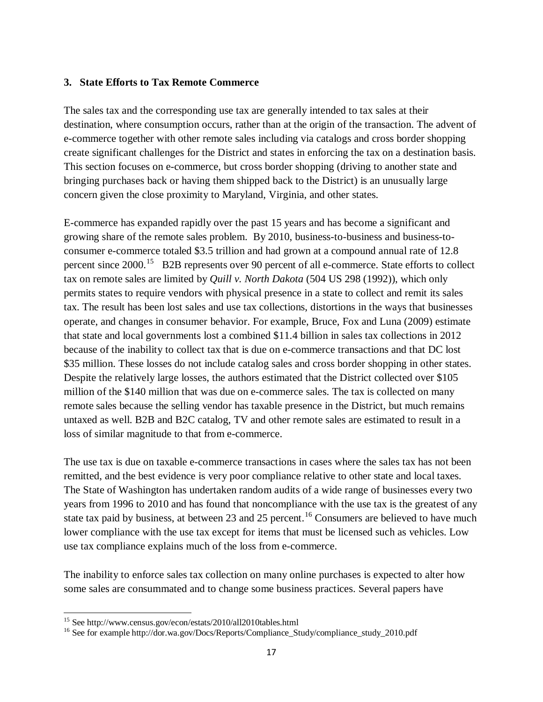#### **3. State Efforts to Tax Remote Commerce**

The sales tax and the corresponding use tax are generally intended to tax sales at their destination, where consumption occurs, rather than at the origin of the transaction. The advent of e-commerce together with other remote sales including via catalogs and cross border shopping create significant challenges for the District and states in enforcing the tax on a destination basis. This section focuses on e-commerce, but cross border shopping (driving to another state and bringing purchases back or having them shipped back to the District) is an unusually large concern given the close proximity to Maryland, Virginia, and other states.

E-commerce has expanded rapidly over the past 15 years and has become a significant and growing share of the remote sales problem. By 2010, business-to-business and business-toconsumer e-commerce totaled \$3.5 trillion and had grown at a compound annual rate of 12.8 percent since 2000.<sup>15</sup> B2B represents over 90 percent of all e-commerce. State efforts to collect tax on remote sales are limited by *Quill v. North Dakota* (504 US 298 (1992)), which only permits states to require vendors with physical presence in a state to collect and remit its sales tax. The result has been lost sales and use tax collections, distortions in the ways that businesses operate, and changes in consumer behavior. For example, Bruce, Fox and Luna (2009) estimate that state and local governments lost a combined \$11.4 billion in sales tax collections in 2012 because of the inability to collect tax that is due on e-commerce transactions and that DC lost \$35 million. These losses do not include catalog sales and cross border shopping in other states. Despite the relatively large losses, the authors estimated that the District collected over \$105 million of the \$140 million that was due on e-commerce sales. The tax is collected on many remote sales because the selling vendor has taxable presence in the District, but much remains untaxed as well. B2B and B2C catalog, TV and other remote sales are estimated to result in a loss of similar magnitude to that from e-commerce.

The use tax is due on taxable e-commerce transactions in cases where the sales tax has not been remitted, and the best evidence is very poor compliance relative to other state and local taxes. The State of Washington has undertaken random audits of a wide range of businesses every two years from 1996 to 2010 and has found that noncompliance with the use tax is the greatest of any state tax paid by business, at between 23 and 25 percent.<sup>[16](#page-17-1)</sup> Consumers are believed to have much lower compliance with the use tax except for items that must be licensed such as vehicles. Low use tax compliance explains much of the loss from e-commerce.

The inability to enforce sales tax collection on many online purchases is expected to alter how some sales are consummated and to change some business practices. Several papers have

<sup>&</sup>lt;sup>15</sup> See http://www.census.gov/econ/estats/2010/all2010tables.html

 $16$  See for example http://dor.wa.gov/Docs/Reports/Compliance\_Study/compliance\_study\_2010.pdf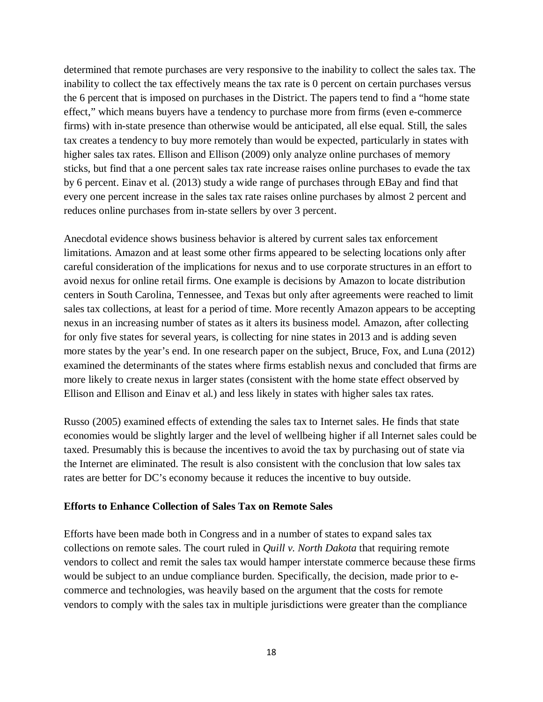determined that remote purchases are very responsive to the inability to collect the sales tax. The inability to collect the tax effectively means the tax rate is 0 percent on certain purchases versus the 6 percent that is imposed on purchases in the District. The papers tend to find a "home state effect," which means buyers have a tendency to purchase more from firms (even e-commerce firms) with in-state presence than otherwise would be anticipated, all else equal. Still, the sales tax creates a tendency to buy more remotely than would be expected, particularly in states with higher sales tax rates. Ellison and Ellison (2009) only analyze online purchases of memory sticks, but find that a one percent sales tax rate increase raises online purchases to evade the tax by 6 percent. Einav et al. (2013) study a wide range of purchases through EBay and find that every one percent increase in the sales tax rate raises online purchases by almost 2 percent and reduces online purchases from in-state sellers by over 3 percent.

Anecdotal evidence shows business behavior is altered by current sales tax enforcement limitations. Amazon and at least some other firms appeared to be selecting locations only after careful consideration of the implications for nexus and to use corporate structures in an effort to avoid nexus for online retail firms. One example is decisions by Amazon to locate distribution centers in South Carolina, Tennessee, and Texas but only after agreements were reached to limit sales tax collections, at least for a period of time. More recently Amazon appears to be accepting nexus in an increasing number of states as it alters its business model. Amazon, after collecting for only five states for several years, is collecting for nine states in 2013 and is adding seven more states by the year's end. In one research paper on the subject, Bruce, Fox, and Luna (2012) examined the determinants of the states where firms establish nexus and concluded that firms are more likely to create nexus in larger states (consistent with the home state effect observed by Ellison and Ellison and Einav et al.) and less likely in states with higher sales tax rates.

Russo (2005) examined effects of extending the sales tax to Internet sales. He finds that state economies would be slightly larger and the level of wellbeing higher if all Internet sales could be taxed. Presumably this is because the incentives to avoid the tax by purchasing out of state via the Internet are eliminated. The result is also consistent with the conclusion that low sales tax rates are better for DC's economy because it reduces the incentive to buy outside.

#### **Efforts to Enhance Collection of Sales Tax on Remote Sales**

<span id="page-17-1"></span><span id="page-17-0"></span>Efforts have been made both in Congress and in a number of states to expand sales tax collections on remote sales. The court ruled in *Quill v. North Dakota* that requiring remote vendors to collect and remit the sales tax would hamper interstate commerce because these firms would be subject to an undue compliance burden. Specifically, the decision, made prior to ecommerce and technologies, was heavily based on the argument that the costs for remote vendors to comply with the sales tax in multiple jurisdictions were greater than the compliance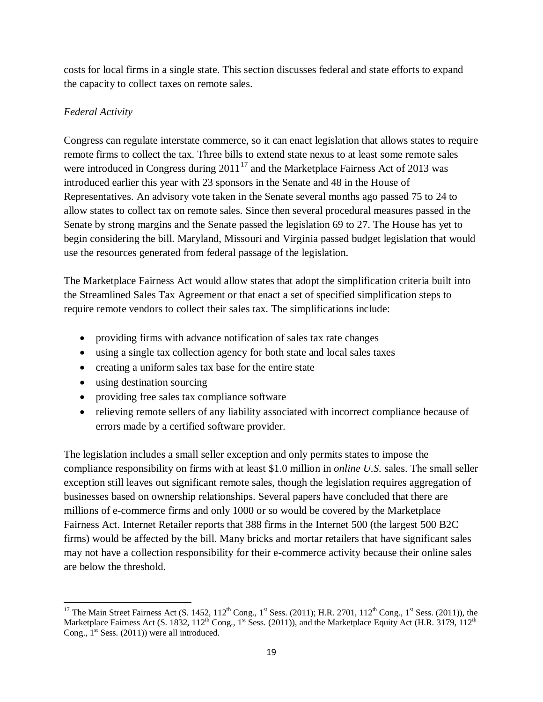costs for local firms in a single state. This section discusses federal and state efforts to expand the capacity to collect taxes on remote sales.

## *Federal Activity*

Congress can regulate interstate commerce, so it can enact legislation that allows states to require remote firms to collect the tax. Three bills to extend state nexus to at least some remote sales were introduced in Congress during  $2011^{17}$  $2011^{17}$  $2011^{17}$  and the Marketplace Fairness Act of 2013 was introduced earlier this year with 23 sponsors in the Senate and 48 in the House of Representatives. An advisory vote taken in the Senate several months ago passed 75 to 24 to allow states to collect tax on remote sales. Since then several procedural measures passed in the Senate by strong margins and the Senate passed the legislation 69 to 27. The House has yet to begin considering the bill. Maryland, Missouri and Virginia passed budget legislation that would use the resources generated from federal passage of the legislation.

The Marketplace Fairness Act would allow states that adopt the simplification criteria built into the Streamlined Sales Tax Agreement or that enact a set of specified simplification steps to require remote vendors to collect their sales tax. The simplifications include:

- providing firms with advance notification of sales tax rate changes
- using a single tax collection agency for both state and local sales taxes
- creating a uniform sales tax base for the entire state
- using destination sourcing
- providing free sales tax compliance software
- relieving remote sellers of any liability associated with incorrect compliance because of errors made by a certified software provider.

The legislation includes a small seller exception and only permits states to impose the compliance responsibility on firms with at least \$1.0 million in *online U.S.* sales. The small seller exception still leaves out significant remote sales, though the legislation requires aggregation of businesses based on ownership relationships. Several papers have concluded that there are millions of e-commerce firms and only 1000 or so would be covered by the Marketplace Fairness Act. Internet Retailer reports that 388 firms in the Internet 500 (the largest 500 B2C firms) would be affected by the bill. Many bricks and mortar retailers that have significant sales may not have a collection responsibility for their e-commerce activity because their online sales are below the threshold.

<sup>&</sup>lt;sup>17</sup> The Main Street Fairness Act (S. 1452, 112<sup>th</sup> Cong., 1<sup>st</sup> Sess. (2011); H.R. 2701, 112<sup>th</sup> Cong., 1<sup>st</sup> Sess. (2011)), the Marketplace Fairness Act (S. 1832, 112<sup>th</sup> Cong., 1<sup>st</sup> Sess. (2011)), and the Marketplace Equity Act (H.R. 3179, 112<sup>th</sup>) Cong.,  $1<sup>st</sup>$  Sess. (2011)) were all introduced.  $\overline{\phantom{a}}$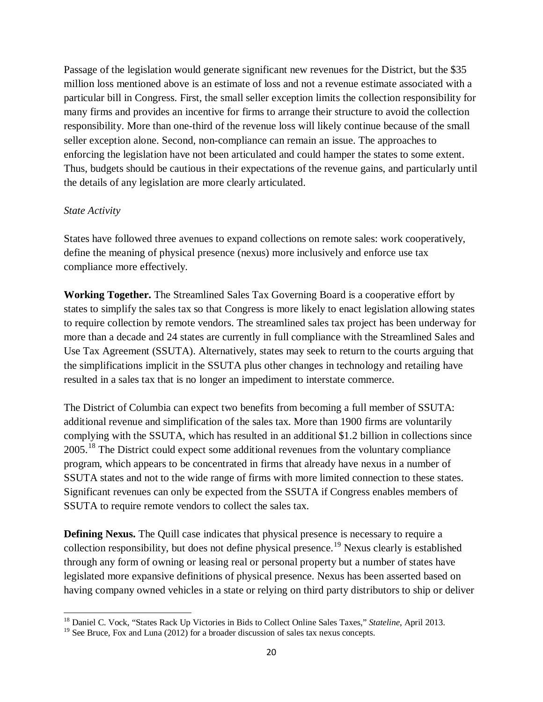Passage of the legislation would generate significant new revenues for the District, but the \$35 million loss mentioned above is an estimate of loss and not a revenue estimate associated with a particular bill in Congress. First, the small seller exception limits the collection responsibility for many firms and provides an incentive for firms to arrange their structure to avoid the collection responsibility. More than one-third of the revenue loss will likely continue because of the small seller exception alone. Second, non-compliance can remain an issue. The approaches to enforcing the legislation have not been articulated and could hamper the states to some extent. Thus, budgets should be cautious in their expectations of the revenue gains, and particularly until the details of any legislation are more clearly articulated.

#### *State Activity*

States have followed three avenues to expand collections on remote sales: work cooperatively, define the meaning of physical presence (nexus) more inclusively and enforce use tax compliance more effectively.

**Working Together.** The Streamlined Sales Tax Governing Board is a cooperative effort by states to simplify the sales tax so that Congress is more likely to enact legislation allowing states to require collection by remote vendors. The streamlined sales tax project has been underway for more than a decade and 24 states are currently in full compliance with the Streamlined Sales and Use Tax Agreement (SSUTA). Alternatively, states may seek to return to the courts arguing that the simplifications implicit in the SSUTA plus other changes in technology and retailing have resulted in a sales tax that is no longer an impediment to interstate commerce.

The District of Columbia can expect two benefits from becoming a full member of SSUTA: additional revenue and simplification of the sales tax. More than 1900 firms are voluntarily complying with the SSUTA, which has resulted in an additional \$1.2 billion in collections since 2005.<sup>[18](#page-20-0)</sup> The District could expect some additional revenues from the voluntary compliance program, which appears to be concentrated in firms that already have nexus in a number of SSUTA states and not to the wide range of firms with more limited connection to these states. Significant revenues can only be expected from the SSUTA if Congress enables members of SSUTA to require remote vendors to collect the sales tax.

**Defining Nexus.** The Quill case indicates that physical presence is necessary to require a collection responsibility, but does not define physical presence.<sup>[19](#page-20-1)</sup> Nexus clearly is established through any form of owning or leasing real or personal property but a number of states have legislated more expansive definitions of physical presence. Nexus has been asserted based on having company owned vehicles in a state or relying on third party distributors to ship or deliver

<span id="page-19-0"></span><sup>18</sup> Daniel C. Vock, "States Rack Up Victories in Bids to Collect Online Sales Taxes," *Stateline*, April 2013. l

<sup>&</sup>lt;sup>19</sup> See Bruce, Fox and Luna (2012) for a broader discussion of sales tax nexus concepts.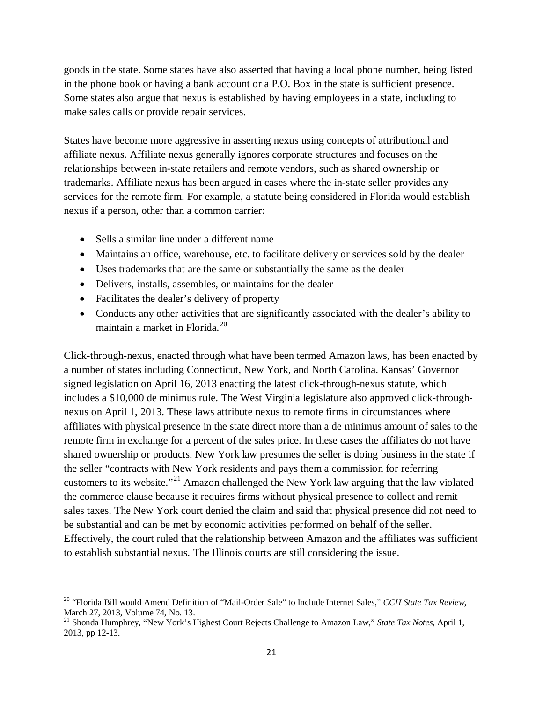goods in the state. Some states have also asserted that having a local phone number, being listed in the phone book or having a bank account or a P.O. Box in the state is sufficient presence. Some states also argue that nexus is established by having employees in a state, including to make sales calls or provide repair services.

States have become more aggressive in asserting nexus using concepts of attributional and affiliate nexus. Affiliate nexus generally ignores corporate structures and focuses on the relationships between in-state retailers and remote vendors, such as shared ownership or trademarks. Affiliate nexus has been argued in cases where the in-state seller provides any services for the remote firm. For example, a statute being considered in Florida would establish nexus if a person, other than a common carrier:

- Sells a similar line under a different name
- Maintains an office, warehouse, etc. to facilitate delivery or services sold by the dealer
- Uses trademarks that are the same or substantially the same as the dealer
- Delivers, installs, assembles, or maintains for the dealer
- Facilitates the dealer's delivery of property

 $\overline{\phantom{a}}$ 

• Conducts any other activities that are significantly associated with the dealer's ability to maintain a market in Florida.[20](#page-21-0)

Click-through-nexus, enacted through what have been termed Amazon laws, has been enacted by a number of states including Connecticut, New York, and North Carolina. Kansas' Governor signed legislation on April 16, 2013 enacting the latest click-through-nexus statute, which includes a \$10,000 de minimus rule. The West Virginia legislature also approved click-throughnexus on April 1, 2013. These laws attribute nexus to remote firms in circumstances where affiliates with physical presence in the state direct more than a de minimus amount of sales to the remote firm in exchange for a percent of the sales price. In these cases the affiliates do not have shared ownership or products. New York law presumes the seller is doing business in the state if the seller "contracts with New York residents and pays them a commission for referring customers to its website."[21](#page-21-1) Amazon challenged the New York law arguing that the law violated the commerce clause because it requires firms without physical presence to collect and remit sales taxes. The New York court denied the claim and said that physical presence did not need to be substantial and can be met by economic activities performed on behalf of the seller. Effectively, the court ruled that the relationship between Amazon and the affiliates was sufficient to establish substantial nexus. The Illinois courts are still considering the issue.

<sup>20</sup> "Florida Bill would Amend Definition of "Mail-Order Sale" to Include Internet Sales," *CCH State Tax Review*, March 27, 2013, Volume 74, No. 13.<br><sup>21</sup> Shonda Humphrey, "New York's Highest Court Rejects Challenge to Amazon Law," *State Tax Notes*, April 1,

<span id="page-20-1"></span><span id="page-20-0"></span><sup>2013,</sup> pp 12-13.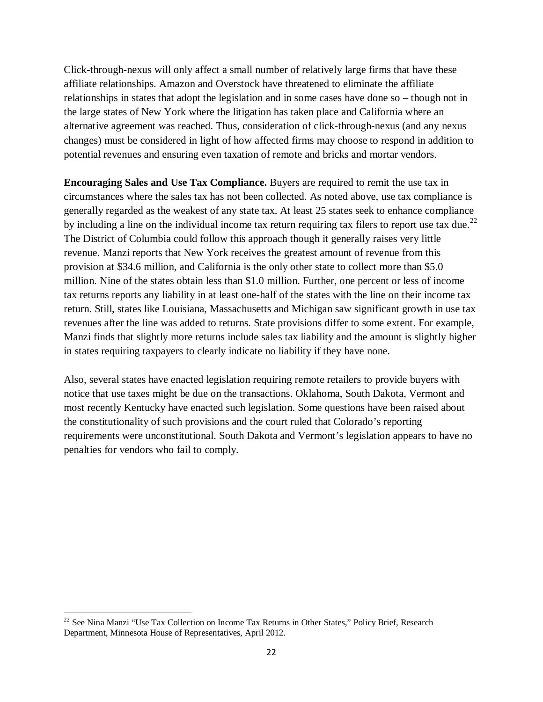Click-through-nexus will only affect a small number of relatively large firms that have these affiliate relationships. Amazon and Overstock have threatened to eliminate the affiliate relationships in states that adopt the legislation and in some cases have done so – though not in the large states of New York where the litigation has taken place and California where an alternative agreement was reached. Thus, consideration of click-through-nexus (and any nexus changes) must be considered in light of how affected firms may choose to respond in addition to potential revenues and ensuring even taxation of remote and bricks and mortar vendors.

**Encouraging Sales and Use Tax Compliance.** Buyers are required to remit the use tax in circumstances where the sales tax has not been collected. As noted above, use tax compliance is generally regarded as the weakest of any state tax. At least 25 states seek to enhance compliance by including a line on the individual income tax return requiring tax filers to report use tax due.<sup>[22](#page-22-0)</sup> The District of Columbia could follow this approach though it generally raises very little revenue. Manzi reports that New York receives the greatest amount of revenue from this provision at \$34.6 million, and California is the only other state to collect more than \$5.0 million. Nine of the states obtain less than \$1.0 million. Further, one percent or less of income tax returns reports any liability in at least one-half of the states with the line on their income tax return. Still, states like Louisiana, Massachusetts and Michigan saw significant growth in use tax revenues after the line was added to returns. State provisions differ to some extent. For example, Manzi finds that slightly more returns include sales tax liability and the amount is slightly higher in states requiring taxpayers to clearly indicate no liability if they have none.

Also, several states have enacted legislation requiring remote retailers to provide buyers with notice that use taxes might be due on the transactions. Oklahoma, South Dakota, Vermont and most recently Kentucky have enacted such legislation. Some questions have been raised about the constitutionality of such provisions and the court ruled that Colorado's reporting requirements were unconstitutional. South Dakota and Vermont's legislation appears to have no penalties for vendors who fail to comply.

<span id="page-21-1"></span><span id="page-21-0"></span><sup>&</sup>lt;sup>22</sup> See Nina Manzi "Use Tax Collection on Income Tax Returns in Other States," Policy Brief, Research Department, Minnesota House of Representatives, April 2012. l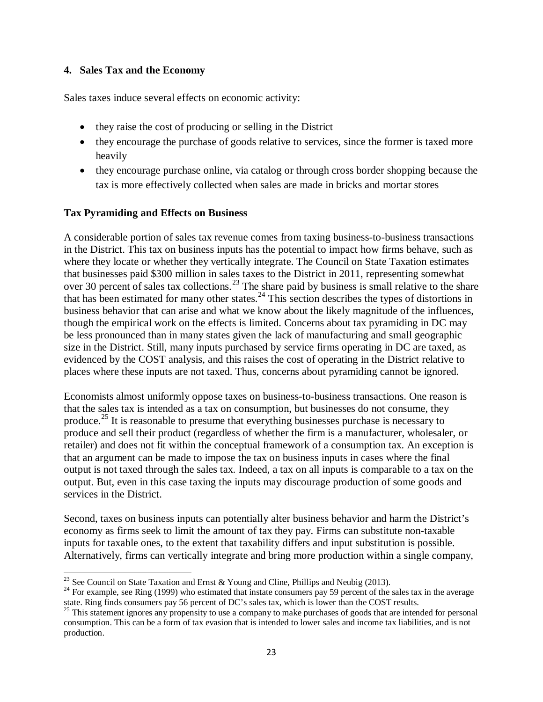#### **4. Sales Tax and the Economy**

Sales taxes induce several effects on economic activity:

- they raise the cost of producing or selling in the District
- they encourage the purchase of goods relative to services, since the former is taxed more heavily
- they encourage purchase online, via catalog or through cross border shopping because the tax is more effectively collected when sales are made in bricks and mortar stores

#### **Tax Pyramiding and Effects on Business**

A considerable portion of sales tax revenue comes from taxing business-to-business transactions in the District. This tax on business inputs has the potential to impact how firms behave, such as where they locate or whether they vertically integrate. The Council on State Taxation estimates that businesses paid \$300 million in sales taxes to the District in 2011, representing somewhat over 30 percent of sales tax collections.<sup>[23](#page-23-0)</sup> The share paid by business is small relative to the share that has been estimated for many other states.<sup>[24](#page-23-1)</sup> This section describes the types of distortions in business behavior that can arise and what we know about the likely magnitude of the influences, though the empirical work on the effects is limited. Concerns about tax pyramiding in DC may be less pronounced than in many states given the lack of manufacturing and small geographic size in the District. Still, many inputs purchased by service firms operating in DC are taxed, as evidenced by the COST analysis, and this raises the cost of operating in the District relative to places where these inputs are not taxed. Thus, concerns about pyramiding cannot be ignored.

Economists almost uniformly oppose taxes on business-to-business transactions. One reason is that the sales tax is intended as a tax on consumption, but businesses do not consume, they produce.<sup>[25](#page-23-2)</sup> It is reasonable to presume that everything businesses purchase is necessary to produce and sell their product (regardless of whether the firm is a manufacturer, wholesaler, or retailer) and does not fit within the conceptual framework of a consumption tax. An exception is that an argument can be made to impose the tax on business inputs in cases where the final output is not taxed through the sales tax. Indeed, a tax on all inputs is comparable to a tax on the output. But, even in this case taxing the inputs may discourage production of some goods and services in the District.

Second, taxes on business inputs can potentially alter business behavior and harm the District's economy as firms seek to limit the amount of tax they pay. Firms can substitute non-taxable inputs for taxable ones, to the extent that taxability differs and input substitution is possible. Alternatively, firms can vertically integrate and bring more production within a single company,

<sup>&</sup>lt;sup>23</sup> See Council on State Taxation and Ernst & Young and Cline, Phillips and Neubig (2013).

<sup>&</sup>lt;sup>24</sup> For example, see Ring (1999) who estimated that instate consumers pay 59 percent of the sales tax in the average state. Ring finds consumers pay 56 percent of DC's sales tax, which is lower than the COST results.

<span id="page-22-0"></span> $25$  This statement ignores any propensity to use a company to make purchases of goods that are intended for personal consumption. This can be a form of tax evasion that is intended to lower sales and income tax liabilities, and is not production.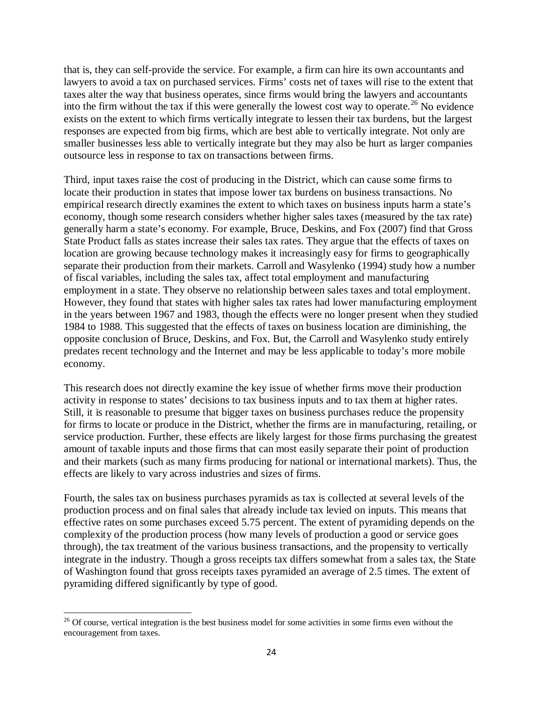that is, they can self-provide the service. For example, a firm can hire its own accountants and lawyers to avoid a tax on purchased services. Firms' costs net of taxes will rise to the extent that taxes alter the way that business operates, since firms would bring the lawyers and accountants into the firm without the tax if this were generally the lowest cost way to operate.[26](#page-24-0) No evidence exists on the extent to which firms vertically integrate to lessen their tax burdens, but the largest responses are expected from big firms, which are best able to vertically integrate. Not only are smaller businesses less able to vertically integrate but they may also be hurt as larger companies outsource less in response to tax on transactions between firms.

Third, input taxes raise the cost of producing in the District, which can cause some firms to locate their production in states that impose lower tax burdens on business transactions. No empirical research directly examines the extent to which taxes on business inputs harm a state's economy, though some research considers whether higher sales taxes (measured by the tax rate) generally harm a state's economy. For example, Bruce, Deskins, and Fox (2007) find that Gross State Product falls as states increase their sales tax rates. They argue that the effects of taxes on location are growing because technology makes it increasingly easy for firms to geographically separate their production from their markets. Carroll and Wasylenko (1994) study how a number of fiscal variables, including the sales tax, affect total employment and manufacturing employment in a state. They observe no relationship between sales taxes and total employment. However, they found that states with higher sales tax rates had lower manufacturing employment in the years between 1967 and 1983, though the effects were no longer present when they studied 1984 to 1988. This suggested that the effects of taxes on business location are diminishing, the opposite conclusion of Bruce, Deskins, and Fox. But, the Carroll and Wasylenko study entirely predates recent technology and the Internet and may be less applicable to today's more mobile economy.

This research does not directly examine the key issue of whether firms move their production activity in response to states' decisions to tax business inputs and to tax them at higher rates. Still, it is reasonable to presume that bigger taxes on business purchases reduce the propensity for firms to locate or produce in the District, whether the firms are in manufacturing, retailing, or service production. Further, these effects are likely largest for those firms purchasing the greatest amount of taxable inputs and those firms that can most easily separate their point of production and their markets (such as many firms producing for national or international markets). Thus, the effects are likely to vary across industries and sizes of firms.

Fourth, the sales tax on business purchases pyramids as tax is collected at several levels of the production process and on final sales that already include tax levied on inputs. This means that effective rates on some purchases exceed 5.75 percent. The extent of pyramiding depends on the complexity of the production process (how many levels of production a good or service goes through), the tax treatment of the various business transactions, and the propensity to vertically integrate in the industry. Though a gross receipts tax differs somewhat from a sales tax, the State of Washington found that gross receipts taxes pyramided an average of 2.5 times. The extent of pyramiding differed significantly by type of good.

<span id="page-23-1"></span><span id="page-23-0"></span>l

<span id="page-23-2"></span> $26$  Of course, vertical integration is the best business model for some activities in some firms even without the encouragement from taxes.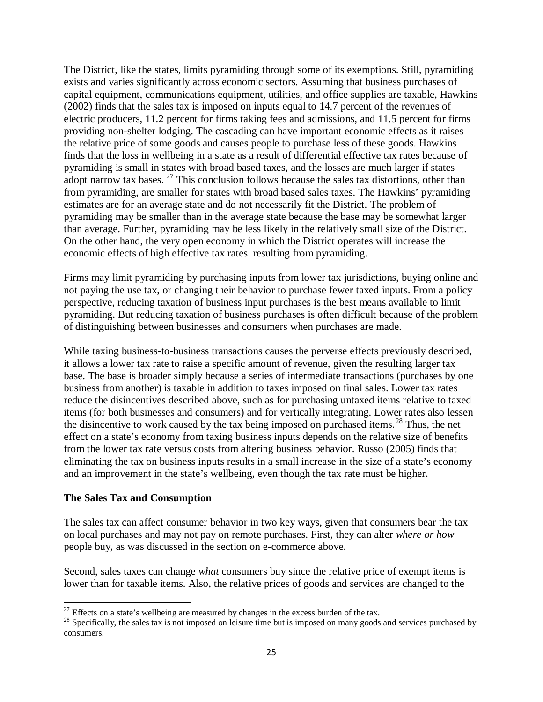The District, like the states, limits pyramiding through some of its exemptions. Still, pyramiding exists and varies significantly across economic sectors. Assuming that business purchases of capital equipment, communications equipment, utilities, and office supplies are taxable, Hawkins (2002) finds that the sales tax is imposed on inputs equal to 14.7 percent of the revenues of electric producers, 11.2 percent for firms taking fees and admissions, and 11.5 percent for firms providing non-shelter lodging. The cascading can have important economic effects as it raises the relative price of some goods and causes people to purchase less of these goods. Hawkins finds that the loss in wellbeing in a state as a result of differential effective tax rates because of pyramiding is small in states with broad based taxes, and the losses are much larger if states adopt narrow tax bases.  $27$  This conclusion follows because the sales tax distortions, other than from pyramiding, are smaller for states with broad based sales taxes. The Hawkins' pyramiding estimates are for an average state and do not necessarily fit the District. The problem of pyramiding may be smaller than in the average state because the base may be somewhat larger than average. Further, pyramiding may be less likely in the relatively small size of the District. On the other hand, the very open economy in which the District operates will increase the economic effects of high effective tax rates resulting from pyramiding.

Firms may limit pyramiding by purchasing inputs from lower tax jurisdictions, buying online and not paying the use tax, or changing their behavior to purchase fewer taxed inputs. From a policy perspective, reducing taxation of business input purchases is the best means available to limit pyramiding. But reducing taxation of business purchases is often difficult because of the problem of distinguishing between businesses and consumers when purchases are made.

While taxing business-to-business transactions causes the perverse effects previously described, it allows a lower tax rate to raise a specific amount of revenue, given the resulting larger tax base. The base is broader simply because a series of intermediate transactions (purchases by one business from another) is taxable in addition to taxes imposed on final sales. Lower tax rates reduce the disincentives described above, such as for purchasing untaxed items relative to taxed items (for both businesses and consumers) and for vertically integrating. Lower rates also lessen the disincentive to work caused by the tax being imposed on purchased items.<sup>[28](#page-25-1)</sup> Thus, the net effect on a state's economy from taxing business inputs depends on the relative size of benefits from the lower tax rate versus costs from altering business behavior. Russo (2005) finds that eliminating the tax on business inputs results in a small increase in the size of a state's economy and an improvement in the state's wellbeing, even though the tax rate must be higher.

#### **The Sales Tax and Consumption**

 $\overline{\phantom{a}}$ 

The sales tax can affect consumer behavior in two key ways, given that consumers bear the tax on local purchases and may not pay on remote purchases. First, they can alter *where or how* people buy, as was discussed in the section on e-commerce above.

Second, sales taxes can change *what* consumers buy since the relative price of exempt items is lower than for taxable items. Also, the relative prices of goods and services are changed to the

<span id="page-24-0"></span><sup>&</sup>lt;sup>27</sup> Effects on a state's wellbeing are measured by changes in the excess burden of the tax.<br><sup>28</sup> Specifically, the sales tax is not imposed on leisure time but is imposed on many goods and services purchased by consumers.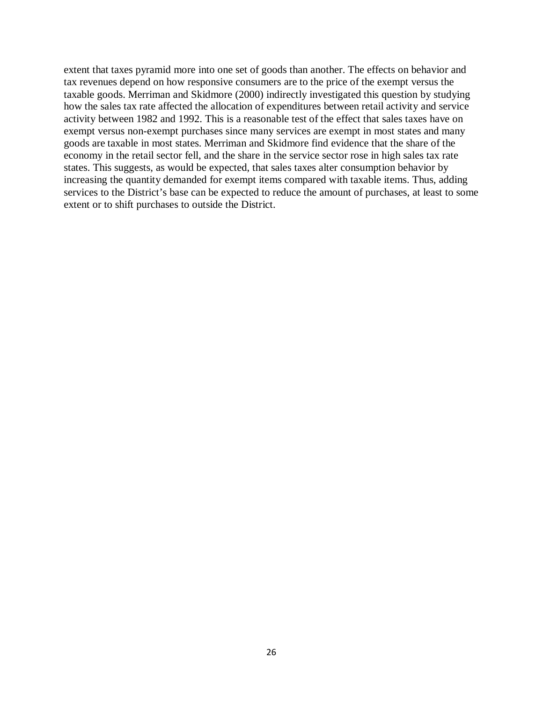<span id="page-25-1"></span><span id="page-25-0"></span>extent that taxes pyramid more into one set of goods than another. The effects on behavior and tax revenues depend on how responsive consumers are to the price of the exempt versus the taxable goods. Merriman and Skidmore (2000) indirectly investigated this question by studying how the sales tax rate affected the allocation of expenditures between retail activity and service activity between 1982 and 1992. This is a reasonable test of the effect that sales taxes have on exempt versus non-exempt purchases since many services are exempt in most states and many goods are taxable in most states. Merriman and Skidmore find evidence that the share of the economy in the retail sector fell, and the share in the service sector rose in high sales tax rate states. This suggests, as would be expected, that sales taxes alter consumption behavior by increasing the quantity demanded for exempt items compared with taxable items. Thus, adding services to the District's base can be expected to reduce the amount of purchases, at least to some extent or to shift purchases to outside the District.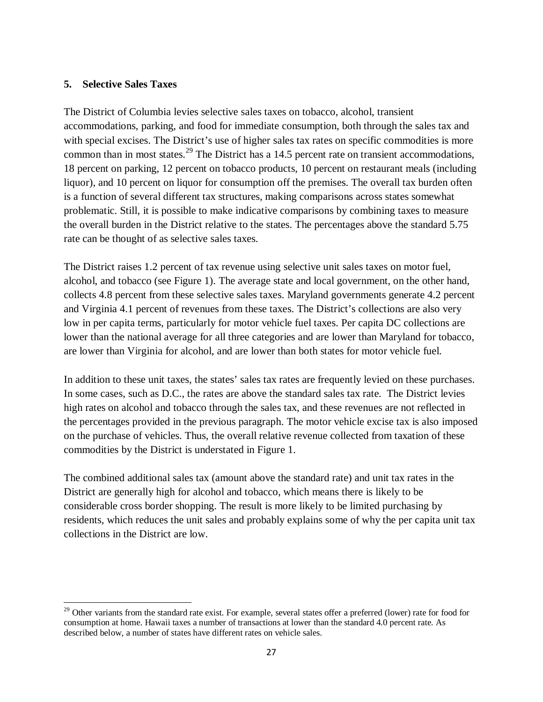#### **5. Selective Sales Taxes**

 $\overline{\phantom{a}}$ 

The District of Columbia levies selective sales taxes on tobacco, alcohol, transient accommodations, parking, and food for immediate consumption, both through the sales tax and with special excises. The District's use of higher sales tax rates on specific commodities is more common than in most states.<sup>[29](#page-27-0)</sup> The District has a 14.5 percent rate on transient accommodations, 18 percent on parking, 12 percent on tobacco products, 10 percent on restaurant meals (including liquor), and 10 percent on liquor for consumption off the premises. The overall tax burden often is a function of several different tax structures, making comparisons across states somewhat problematic. Still, it is possible to make indicative comparisons by combining taxes to measure the overall burden in the District relative to the states. The percentages above the standard 5.75 rate can be thought of as selective sales taxes.

The District raises 1.2 percent of tax revenue using selective unit sales taxes on motor fuel, alcohol, and tobacco (see Figure 1). The average state and local government, on the other hand, collects 4.8 percent from these selective sales taxes. Maryland governments generate 4.2 percent and Virginia 4.1 percent of revenues from these taxes. The District's collections are also very low in per capita terms, particularly for motor vehicle fuel taxes. Per capita DC collections are lower than the national average for all three categories and are lower than Maryland for tobacco, are lower than Virginia for alcohol, and are lower than both states for motor vehicle fuel.

In addition to these unit taxes, the states' sales tax rates are frequently levied on these purchases. In some cases, such as D.C., the rates are above the standard sales tax rate. The District levies high rates on alcohol and tobacco through the sales tax, and these revenues are not reflected in the percentages provided in the previous paragraph. The motor vehicle excise tax is also imposed on the purchase of vehicles. Thus, the overall relative revenue collected from taxation of these commodities by the District is understated in Figure 1.

The combined additional sales tax (amount above the standard rate) and unit tax rates in the District are generally high for alcohol and tobacco, which means there is likely to be considerable cross border shopping. The result is more likely to be limited purchasing by residents, which reduces the unit sales and probably explains some of why the per capita unit tax collections in the District are low.

 $29$  Other variants from the standard rate exist. For example, several states offer a preferred (lower) rate for food for consumption at home. Hawaii taxes a number of transactions at lower than the standard 4.0 percent rate. As described below, a number of states have different rates on vehicle sales.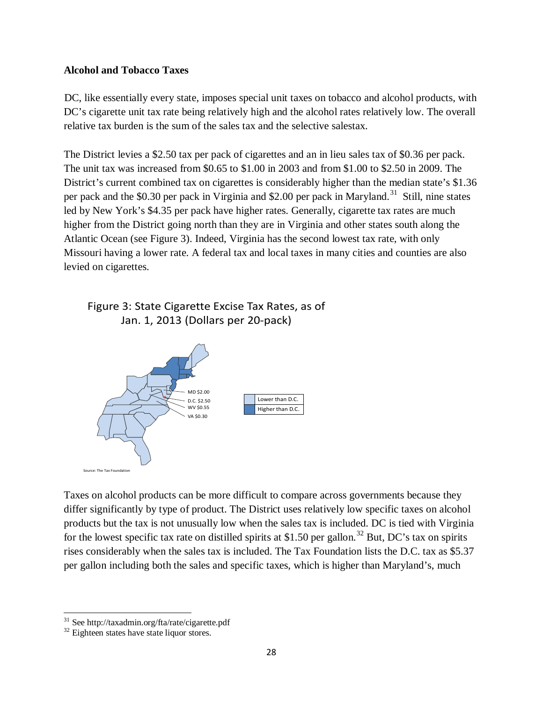#### **Alcohol and Tobacco Taxes**

[DC](#page-28-0), like essentially every state, imposes special unit taxes on tobacco and alcohol products, with DC's cigarette unit tax rate being relatively high and the alcohol rates relatively low. The overall relative tax burden is the sum of the sales tax and the selective salestax.

The District levies a \$2.50 tax per pack of cigarettes and an in lieu sales tax of \$0.36 per pack. The unit tax was increased from \$0.65 to \$1.00 in 2003 and from \$1.00 to \$2.50 in 2009. The District's current combined tax on cigarettes is considerably higher than the median state's \$1.36 per pack and the \$0.30 per pack in Virginia and \$2.00 per pack in Maryland.<sup>[31](#page-28-1)</sup> Still, nine states led by New York's \$4.35 per pack have higher rates. Generally, cigarette tax rates are much higher from the District going north than they are in Virginia and other states south along the Atlantic Ocean (see Figure 3). Indeed, Virginia has the second lowest tax rate, with only Missouri having a lower rate. A federal tax and local taxes in many cities and counties are also levied on cigarettes.

## Figure 3: State Cigarette Excise Tax Rates, as of Jan. 1, 2013 (Dollars per 20-pack)



Taxes on alcohol products can be more difficult to compare across governments because they differ significantly by type of product. The District uses relatively low specific taxes on alcohol products but the tax is not unusually low when the sales tax is included. DC is tied with Virginia for the lowest specific tax rate on distilled spirits at \$1.50 per gallon.<sup>[32](#page-29-0)</sup> But, DC's tax on spirits rises considerably when the sales tax is included. The Tax Foundation lists the D.C. tax as \$5.37 per gallon including both the sales and specific taxes, which is higher than Maryland's, much

<span id="page-27-0"></span><sup>&</sup>lt;sup>31</sup> See http://taxadmin.org/fta/rate/cigarette.pdf

 $32$  Eighteen states have state liquor stores.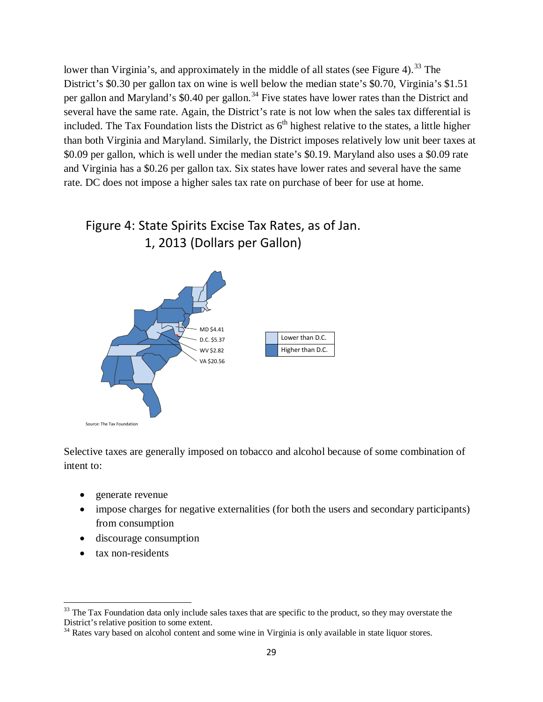lower than Virginia's, and approximately in the middle of all states (see Figure 4).<sup>[33](#page-29-1)</sup> The District's \$0.30 per gallon tax on wine is well below the median state's \$0.70, Virginia's \$1.51 per gallon and Maryland's \$0.40 per gallon.<sup>[34](#page-29-2)</sup> Five states have lower rates than the District and several have the same rate. Again, the District's rate is not low when the sales tax differential is included. The Tax Foundation lists the District as  $6<sup>th</sup>$  highest relative to the states, a little higher than both Virginia and Maryland. Similarly, the District imposes relatively low unit beer taxes at \$0.09 per gallon, which is well under the median state's \$0.19. Maryland also uses a \$0.09 rate and Virginia has a \$0.26 per gallon tax. Six states have lower rates and several have the same rate. DC does not impose a higher sales tax rate on purchase of beer for use at home.

## Figure 4: State Spirits Excise Tax Rates, as of Jan. 1, 2013 (Dollars per Gallon)



Selective taxes are generally imposed on tobacco and alcohol because of some combination of intent to:

- generate revenue
- impose charges for negative externalities (for both the users and secondary participants) from consumption
- discourage consumption
- tax non-residents

 $\overline{\phantom{a}}$ 

<span id="page-28-0"></span><sup>&</sup>lt;sup>33</sup> The Tax Foundation data only include sales taxes that are specific to the product, so they may overstate the District's relative position to some extent.

<span id="page-28-1"></span> $34$  Rates vary based on alcohol content and some wine in Virginia is only available in state liquor stores.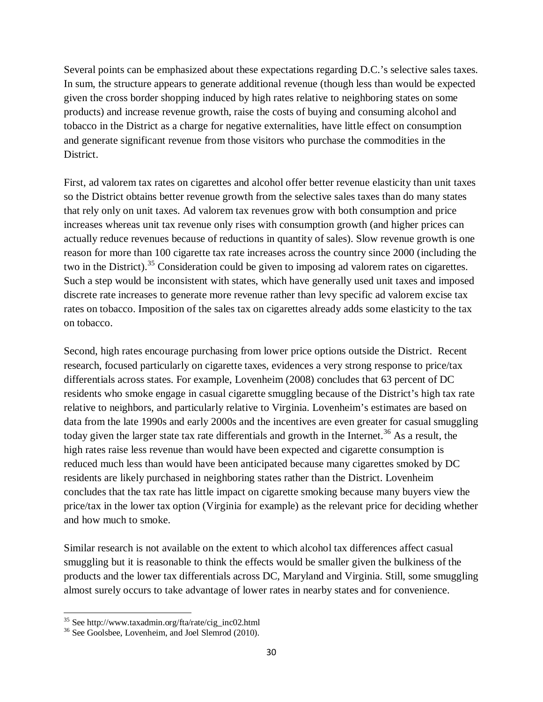Several points can be emphasized about these expectations regarding D.C.'s selective sales taxes. In sum, the structure appears to generate additional revenue (though less than would be expected given the cross border shopping induced by high rates relative to neighboring states on some products) and increase revenue growth, raise the costs of buying and consuming alcohol and tobacco in the District as a charge for negative externalities, have little effect on consumption and generate significant revenue from those visitors who purchase the commodities in the District.

First, ad valorem tax rates on cigarettes and alcohol offer better revenue elasticity than unit taxes so the District obtains better revenue growth from the selective sales taxes than do many states that rely only on unit taxes. Ad valorem tax revenues grow with both consumption and price increases whereas unit tax revenue only rises with consumption growth (and higher prices can actually reduce revenues because of reductions in quantity of sales). Slow revenue growth is one reason for more than 100 cigarette tax rate increases across the country since 2000 (including the two in the District).<sup>[35](#page-31-0)</sup> Consideration could be given to imposing ad valorem rates on cigarettes. Such a step would be inconsistent with states, which have generally used unit taxes and imposed discrete rate increases to generate more revenue rather than levy specific ad valorem excise tax rates on tobacco. Imposition of the sales tax on cigarettes already adds some elasticity to the tax on tobacco.

Second, high rates encourage purchasing from lower price options outside the District. Recent research, focused particularly on cigarette taxes, evidences a very strong response to price/tax differentials across states. For example, Lovenheim (2008) concludes that 63 percent of DC residents who smoke engage in casual cigarette smuggling because of the District's high tax rate relative to neighbors, and particularly relative to Virginia. Lovenheim's estimates are based on data from the late 1990s and early 2000s and the incentives are even greater for casual smuggling today given the larger state tax rate differentials and growth in the Internet.<sup>[36](#page-31-1)</sup> As a result, the high rates raise less revenue than would have been expected and cigarette consumption is reduced much less than would have been anticipated because many cigarettes smoked by DC residents are likely purchased in neighboring states rather than the District. Lovenheim concludes that the tax rate has little impact on cigarette smoking because many buyers view the price/tax in the lower tax option (Virginia for example) as the relevant price for deciding whether and how much to smoke.

Similar research is not available on the extent to which alcohol tax differences affect casual smuggling but it is reasonable to think the effects would be smaller given the bulkiness of the products and the lower tax differentials across DC, Maryland and Virginia. Still, some smuggling almost surely occurs to take advantage of lower rates in nearby states and for convenience.

<span id="page-29-1"></span><span id="page-29-0"></span> $35$  See http://www.taxadmin.org/fta/rate/cig\_inc02.html

<span id="page-29-2"></span><sup>&</sup>lt;sup>36</sup> See Goolsbee, Lovenheim, and Joel Slemrod (2010).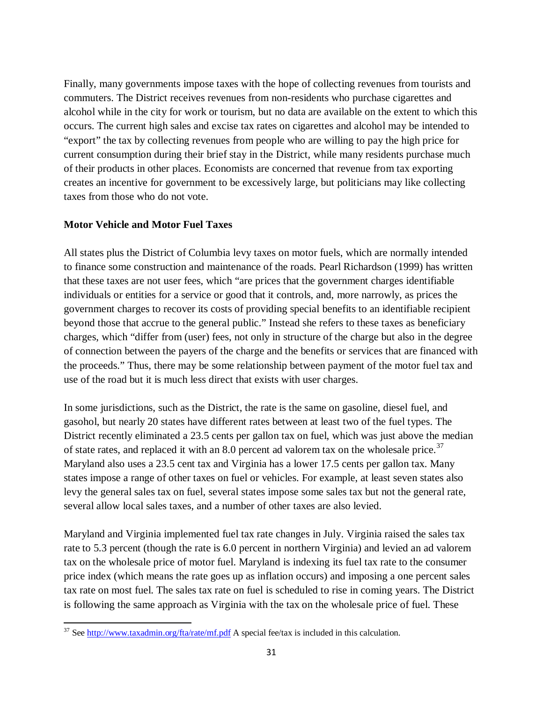Finally, many governments impose taxes with the hope of collecting revenues from tourists and commuters. The District receives revenues from non-residents who purchase cigarettes and alcohol while in the city for work or tourism, but no data are available on the extent to which this occurs. The current high sales and excise tax rates on cigarettes and alcohol may be intended to "export" the tax by collecting revenues from people who are willing to pay the high price for current consumption during their brief stay in the District, while many residents purchase much of their products in other places. Economists are concerned that revenue from tax exporting creates an incentive for government to be excessively large, but politicians may like collecting taxes from those who do not vote.

#### **Motor Vehicle and Motor Fuel Taxes**

All states plus the District of Columbia levy taxes on motor fuels, which are normally intended to finance some construction and maintenance of the roads. Pearl Richardson (1999) has written that these taxes are not user fees, which "are prices that the government charges identifiable individuals or entities for a service or good that it controls, and, more narrowly, as prices the government charges to recover its costs of providing special benefits to an identifiable recipient beyond those that accrue to the general public." Instead she refers to these taxes as beneficiary charges, which "differ from (user) fees, not only in structure of the charge but also in the degree of connection between the payers of the charge and the benefits or services that are financed with the proceeds." Thus, there may be some relationship between payment of the motor fuel tax and use of the road but it is much less direct that exists with user charges.

In some jurisdictions, such as the District, the rate is the same on gasoline, diesel fuel, and gasohol, but nearly 20 states have different rates between at least two of the fuel types. The District recently eliminated a 23.5 cents per gallon tax on fuel, which was just above the median of state rates, and replaced it with an 8.0 percent ad valorem tax on the wholesale price.<sup>[37](#page-32-0)</sup> Maryland also uses a 23.5 cent tax and Virginia has a lower 17.5 cents per gallon tax. Many states impose a range of other taxes on fuel or vehicles. For example, at least seven states also levy the general sales tax on fuel, several states impose some sales tax but not the general rate, several allow local sales taxes, and a number of other taxes are also levied.

Maryland and Virginia implemented fuel tax rate changes in July. Virginia raised the sales tax rate to 5.3 percent (though the rate is 6.0 percent in northern Virginia) and levied an ad valorem tax on the wholesale price of motor fuel. Maryland is indexing its fuel tax rate to the consumer price index (which means the rate goes up as inflation occurs) and imposing a one percent sales tax rate on most fuel. The sales tax rate on fuel is scheduled to rise in coming years. The District is following the same approach as Virginia with the tax on the wholesale price of fuel. These

<sup>&</sup>lt;sup>37</sup> See<http://www.taxadmin.org/fta/rate/mf.pdf> A special fee/tax is included in this calculation.  $\overline{a}$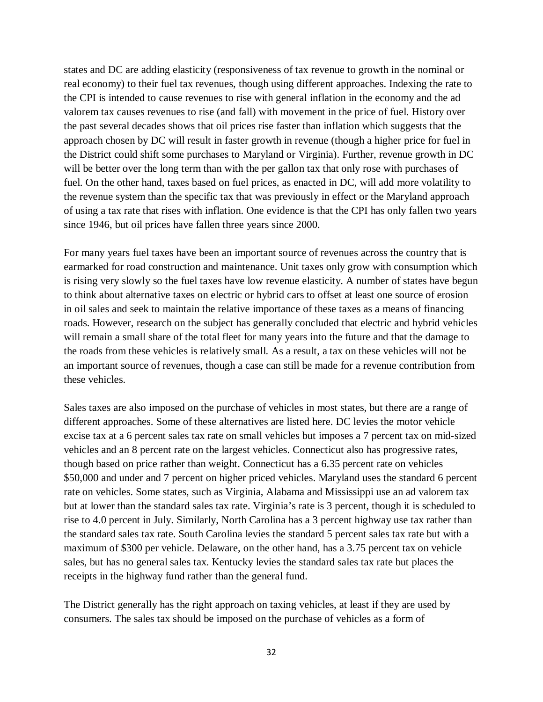states and DC are adding elasticity (responsiveness of tax revenue to growth in the nominal or real economy) to their fuel tax revenues, though using different approaches. Indexing the rate to the CPI is intended to cause revenues to rise with general inflation in the economy and the ad valorem tax causes revenues to rise (and fall) with movement in the price of fuel. History over the past several decades shows that oil prices rise faster than inflation which suggests that the approach chosen by DC will result in faster growth in revenue (though a higher price for fuel in the District could shift some purchases to Maryland or Virginia). Further, revenue growth in DC will be better over the long term than with the per gallon tax that only rose with purchases of fuel. On the other hand, taxes based on fuel prices, as enacted in DC, will add more volatility to the revenue system than the specific tax that was previously in effect or the Maryland approach of using a tax rate that rises with inflation. One evidence is that the CPI has only fallen two years since 1946, but oil prices have fallen three years since 2000.

For many years fuel taxes have been an important source of revenues across the country that is earmarked for road construction and maintenance. Unit taxes only grow with consumption which is rising very slowly so the fuel taxes have low revenue elasticity. A number of states have begun to think about alternative taxes on electric or hybrid cars to offset at least one source of erosion in oil sales and seek to maintain the relative importance of these taxes as a means of financing roads. However, research on the subject has generally concluded that electric and hybrid vehicles will remain a small share of the total fleet for many years into the future and that the damage to the roads from these vehicles is relatively small. As a result, a tax on these vehicles will not be an important source of revenues, though a case can still be made for a revenue contribution from these vehicles.

Sales taxes are also imposed on the purchase of vehicles in most states, but there are a range of different approaches. Some of these alternatives are listed here. DC levies the motor vehicle excise tax at a 6 percent sales tax rate on small vehicles but imposes a 7 percent tax on mid-sized vehicles and an 8 percent rate on the largest vehicles. Connecticut also has progressive rates, though based on price rather than weight. Connecticut has a 6.35 percent rate on vehicles \$50,000 and under and 7 percent on higher priced vehicles. Maryland uses the standard 6 percent rate on vehicles. Some states, such as Virginia, Alabama and Mississippi use an ad valorem tax but at lower than the standard sales tax rate. Virginia's rate is 3 percent, though it is scheduled to rise to 4.0 percent in July. Similarly, North Carolina has a 3 percent highway use tax rather than the standard sales tax rate. South Carolina levies the standard 5 percent sales tax rate but with a maximum of \$300 per vehicle. Delaware, on the other hand, has a 3.75 percent tax on vehicle sales, but has no general sales tax. Kentucky levies the standard sales tax rate but places the receipts in the highway fund rather than the general fund.

<span id="page-31-1"></span><span id="page-31-0"></span>The District generally has the right approach on taxing vehicles, at least if they are used by consumers. The sales tax should be imposed on the purchase of vehicles as a form of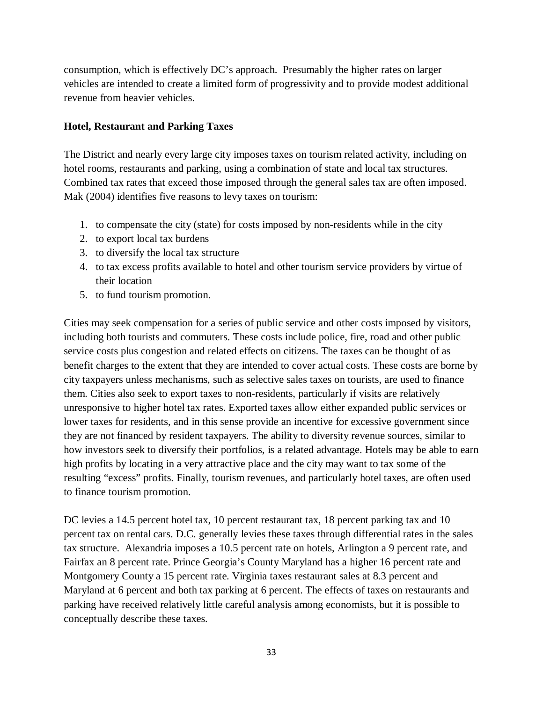consumption, which is effectively DC's approach. Presumably the higher rates on larger vehicles are intended to create a limited form of progressivity and to provide modest additional revenue from heavier vehicles.

#### **Hotel, Restaurant and Parking Taxes**

The District and nearly every large city imposes taxes on tourism related activity, including on hotel rooms, restaurants and parking, using a combination of state and local tax structures. Combined tax rates that exceed those imposed through the general sales tax are often imposed. Mak (2004) identifies five reasons to levy taxes on tourism:

- 1. to compensate the city (state) for costs imposed by non-residents while in the city
- 2. to export local tax burdens
- 3. to diversify the local tax structure
- 4. to tax excess profits available to hotel and other tourism service providers by virtue of their location
- 5. to fund tourism promotion.

Cities may seek compensation for a series of public service and other costs imposed by visitors, including both tourists and commuters. These costs include police, fire, road and other public service costs plus congestion and related effects on citizens. The taxes can be thought of as benefit charges to the extent that they are intended to cover actual costs. These costs are borne by city taxpayers unless mechanisms, such as selective sales taxes on tourists, are used to finance them. Cities also seek to export taxes to non-residents, particularly if visits are relatively unresponsive to higher hotel tax rates. Exported taxes allow either expanded public services or lower taxes for residents, and in this sense provide an incentive for excessive government since they are not financed by resident taxpayers. The ability to diversity revenue sources, similar to how investors seek to diversify their portfolios, is a related advantage. Hotels may be able to earn high profits by locating in a very attractive place and the city may want to tax some of the resulting "excess" profits. Finally, tourism revenues, and particularly hotel taxes, are often used to finance tourism promotion.

<span id="page-32-0"></span>DC levies a 14.5 percent hotel tax, 10 percent restaurant tax, 18 percent parking tax and 10 percent tax on rental cars. D.C. generally levies these taxes through differential rates in the sales tax structure. Alexandria imposes a 10.5 percent rate on hotels, Arlington a 9 percent rate, and Fairfax an 8 percent rate. Prince Georgia's County Maryland has a higher 16 percent rate and Montgomery County a 15 percent rate. Virginia taxes restaurant sales at 8.3 percent and Maryland at 6 percent and both tax parking at 6 percent. The effects of taxes on restaurants and parking have received relatively little careful analysis among economists, but it is possible to conceptually describe these taxes.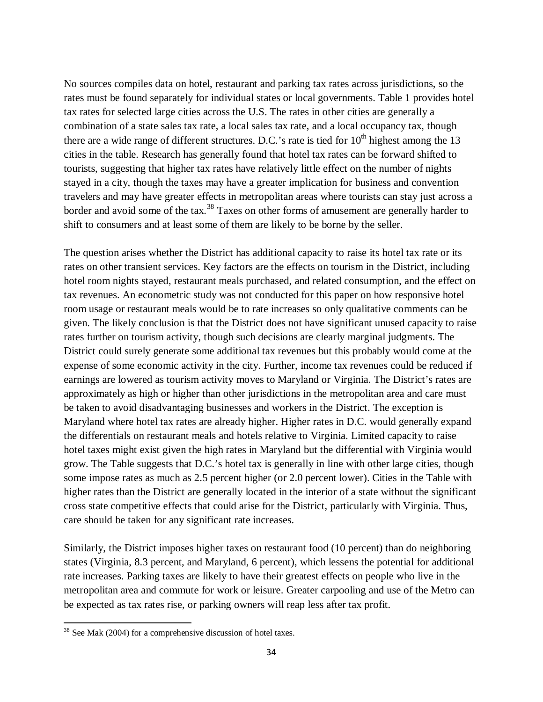No sources compiles data on hotel, restaurant and parking tax rates across jurisdictions, so the rates must be found separately for individual states or local governments. Table 1 provides hotel tax rates for selected large cities across the U.S. The rates in other cities are generally a combination of a state sales tax rate, a local sales tax rate, and a local occupancy tax, though there are a wide range of different structures. D.C.'s rate is tied for  $10<sup>th</sup>$  highest among the 13 cities in the table. Research has generally found that hotel tax rates can be forward shifted to tourists, suggesting that higher tax rates have relatively little effect on the number of nights stayed in a city, though the taxes may have a greater implication for business and convention travelers and may have greater effects in metropolitan areas where tourists can stay just across a border and avoid some of the tax.<sup>[38](#page-35-0)</sup> Taxes on other forms of amusement are generally harder to shift to consumers and at least some of them are likely to be borne by the seller.

The question arises whether the District has additional capacity to raise its hotel tax rate or its rates on other transient services. Key factors are the effects on tourism in the District, including hotel room nights stayed, restaurant meals purchased, and related consumption, and the effect on tax revenues. An econometric study was not conducted for this paper on how responsive hotel room usage or restaurant meals would be to rate increases so only qualitative comments can be given. The likely conclusion is that the District does not have significant unused capacity to raise rates further on tourism activity, though such decisions are clearly marginal judgments. The District could surely generate some additional tax revenues but this probably would come at the expense of some economic activity in the city. Further, income tax revenues could be reduced if earnings are lowered as tourism activity moves to Maryland or Virginia. The District's rates are approximately as high or higher than other jurisdictions in the metropolitan area and care must be taken to avoid disadvantaging businesses and workers in the District. The exception is Maryland where hotel tax rates are already higher. Higher rates in D.C. would generally expand the differentials on restaurant meals and hotels relative to Virginia. Limited capacity to raise hotel taxes might exist given the high rates in Maryland but the differential with Virginia would grow. The Table suggests that D.C.'s hotel tax is generally in line with other large cities, though some impose rates as much as 2.5 percent higher (or 2.0 percent lower). Cities in the Table with higher rates than the District are generally located in the interior of a state without the significant cross state competitive effects that could arise for the District, particularly with Virginia. Thus, care should be taken for any significant rate increases.

Similarly, the District imposes higher taxes on restaurant food (10 percent) than do neighboring states (Virginia, 8.3 percent, and Maryland, 6 percent), which lessens the potential for additional rate increases. Parking taxes are likely to have their greatest effects on people who live in the metropolitan area and commute for work or leisure. Greater carpooling and use of the Metro can be expected as tax rates rise, or parking owners will reap less after tax profit.

 $\overline{a}$ 

 $38$  See Mak (2004) for a comprehensive discussion of hotel taxes.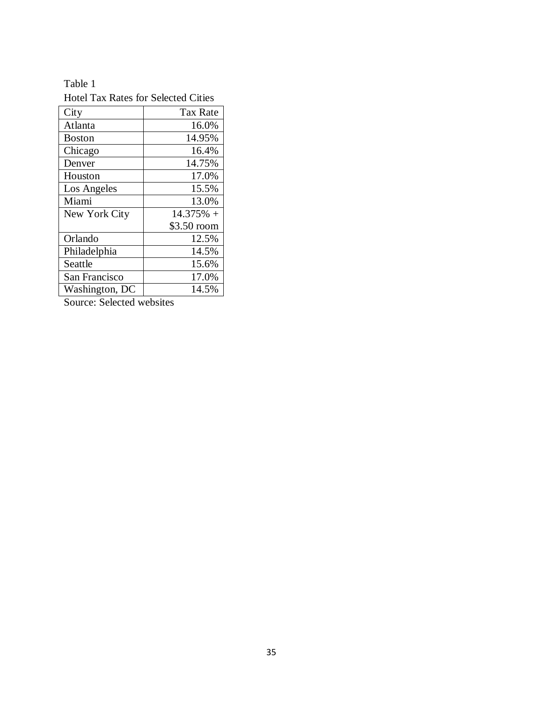## Table 1

| <b>Hotel Tax Rates for Selected Cities</b> |             |  |  |
|--------------------------------------------|-------------|--|--|
| City                                       | Tax Rate    |  |  |
| Atlanta                                    | 16.0%       |  |  |
| <b>Boston</b>                              | 14.95%      |  |  |
| Chicago                                    | 16.4%       |  |  |
| Denver                                     | 14.75%      |  |  |
| Houston                                    | 17.0%       |  |  |
| Los Angeles                                | 15.5%       |  |  |
| Miami                                      | 13.0%       |  |  |
| New York City                              | $14.375%$ + |  |  |
|                                            | \$3.50 room |  |  |
| Orlando                                    | 12.5%       |  |  |
| Philadelphia                               | 14.5%       |  |  |
| Seattle                                    | 15.6%       |  |  |
| San Francisco                              | 17.0%       |  |  |
| Washington, DC                             | 14.5%       |  |  |

Source: Selected websites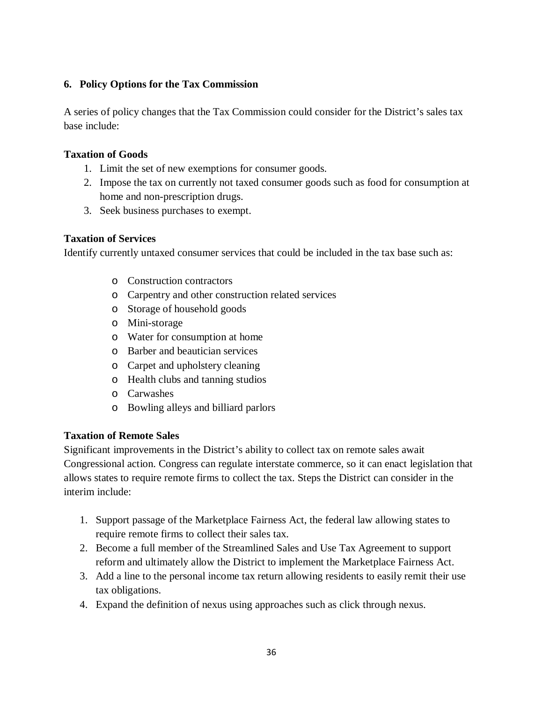#### **6. Policy Options for the Tax Commission**

A series of policy changes that the Tax Commission could consider for the District's sales tax base include:

#### **Taxation of Goods**

- 1. Limit the set of new exemptions for consumer goods.
- 2. Impose the tax on currently not taxed consumer goods such as food for consumption at home and non-prescription drugs.
- 3. Seek business purchases to exempt.

#### **Taxation of Services**

Identify currently untaxed consumer services that could be included in the tax base such as:

- o Construction contractors
- o Carpentry and other construction related services
- o Storage of household goods
- o Mini-storage
- o Water for consumption at home
- o Barber and beautician services
- o Carpet and upholstery cleaning
- o Health clubs and tanning studios
- o Carwashes
- o Bowling alleys and billiard parlors

#### **Taxation of Remote Sales**

Significant improvements in the District's ability to collect tax on remote sales await Congressional action. Congress can regulate interstate commerce, so it can enact legislation that allows states to require remote firms to collect the tax. Steps the District can consider in the interim include:

- 1. Support passage of the Marketplace Fairness Act, the federal law allowing states to require remote firms to collect their sales tax.
- 2. Become a full member of the Streamlined Sales and Use Tax Agreement to support reform and ultimately allow the District to implement the Marketplace Fairness Act.
- 3. Add a line to the personal income tax return allowing residents to easily remit their use tax obligations.
- <span id="page-35-0"></span>4. Expand the definition of nexus using approaches such as click through nexus.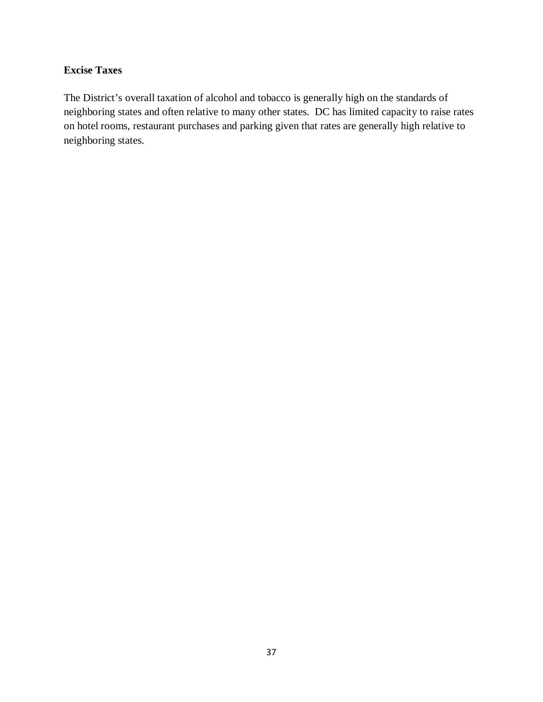## **Excise Taxes**

The District's overall taxation of alcohol and tobacco is generally high on the standards of neighboring states and often relative to many other states. DC has limited capacity to raise rates on hotel rooms, restaurant purchases and parking given that rates are generally high relative to neighboring states.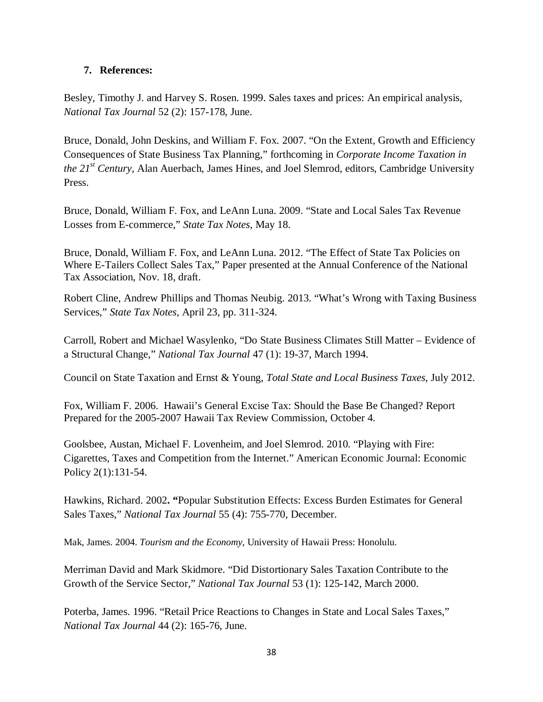#### **7. References:**

Besley, Timothy J. and Harvey S. Rosen. 1999. Sales taxes and prices: An empirical analysis, *National Tax Journal* 52 (2): 157-178, June.

Bruce, Donald, John Deskins, and William F. Fox. 2007. "On the Extent, Growth and Efficiency Consequences of State Business Tax Planning," forthcoming in *Corporate Income Taxation in the 21st Century,* Alan Auerbach, James Hines, and Joel Slemrod, editors, Cambridge University Press.

Bruce, Donald, William F. Fox, and LeAnn Luna. 2009. "State and Local Sales Tax Revenue Losses from E-commerce," *State Tax Notes*, May 18.

Bruce, Donald, William F. Fox, and LeAnn Luna. 2012. "The Effect of State Tax Policies on Where E-Tailers Collect Sales Tax," Paper presented at the Annual Conference of the National Tax Association, Nov. 18, draft.

Robert Cline, Andrew Phillips and Thomas Neubig. 2013. "What's Wrong with Taxing Business Services," *State Tax Notes*, April 23, pp. 311-324.

Carroll, Robert and Michael Wasylenko, "Do State Business Climates Still Matter – Evidence of a Structural Change," *National Tax Journal* 47 (1): 19-37, March 1994.

Council on State Taxation and Ernst & Young, *Total State and Local Business Taxes*, July 2012.

Fox, William F. 2006. Hawaii's General Excise Tax: Should the Base Be Changed? Report Prepared for the 2005-2007 Hawaii Tax Review Commission, October 4.

Goolsbee, Austan, Michael F. Lovenheim, and Joel Slemrod. 2010. "Playing with Fire: Cigarettes, Taxes and Competition from the Internet." American Economic Journal: Economic Policy 2(1):131-54.

Hawkins, Richard. 2002**. "**Popular Substitution Effects: Excess Burden Estimates for General Sales Taxes," *National Tax Journal* 55 (4): 755-770, December.

Mak, James. 2004. *Tourism and the Economy*, University of Hawaii Press: Honolulu.

Merriman David and Mark Skidmore. "Did Distortionary Sales Taxation Contribute to the Growth of the Service Sector," *National Tax Journal* 53 (1): 125-142, March 2000.

Poterba, James. 1996. "Retail Price Reactions to Changes in State and Local Sales Taxes," *National Tax Journal* 44 (2): 165-76, June.